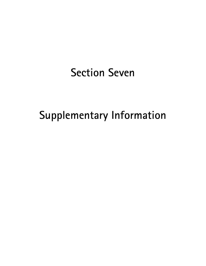# Section Seven

# Supplementary Information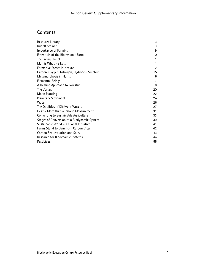# **Contents**

| Resource Library                            | 3  |
|---------------------------------------------|----|
| <b>Rudolf Steiner</b>                       | 3  |
| Importance of Farming                       | 9  |
| Essentials of the Biodynamic Farm           | 10 |
| The Living Planet                           | 11 |
| Man is What He Eats                         | 11 |
| Formative Forces in Nature                  | 12 |
| Carbon, Oxygen, Nitrogen, Hydrogen, Sulphur | 15 |
| Metamorphosis in Plants                     | 16 |
| <b>Elemental Beings</b>                     | 17 |
| A Healing Approach to Forestry              | 18 |
| The Vortex                                  | 20 |
| Moon Planting                               | 22 |
| <b>Planetary Movement</b>                   | 24 |
| Water                                       | 26 |
| The Qualities of Different Waters           | 27 |
| Heat - More than a Caloric Measurement      | 31 |
| Converting to Sustainable Agriculture       | 33 |
| Stages of Conversion to a Biodynamic System | 39 |
| Sustainable World - A Global Initiative     | 41 |
| Farms Stand to Gain from Carbon Crop        | 42 |
| Carbon Sequestration and Soils              | 43 |
| Research for Biodynamic Systems             | 44 |
| Pesticides                                  | 55 |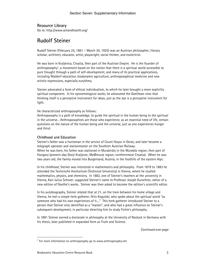# Resource Library

Go to: http://www.soilandhealth.org/

# Rudolf Steiner

Rudolf Steiner (February 25, 1861 – March 30, 1925) was an Austrian philosopher, literary scholar, architect, educator, artist, playwright, social thinker, and esotericist.

He was born in Kraljevica, Croatia, then part of the Austrian Empire. He is the founder of anthroposophy<sup>1</sup>, a movement based on the notion that there is a spiritual world accessible to pure thought through a path of self-development, and many of its practical applications, including Waldorf education, biodynamic agriculture, anthroposophical medicine and new artistic expressions, especially eurythmy.

Steiner advocated a form of ethical individualism, to which he later brought a more explicitly spiritual component. In his epistemological works, he advocated the Goethean view that thinking itself is a perceptive instrument for ideas, just as the eye is a perceptive instrument for light.

He characterized anthroposophy as follows:

Anthroposophy is a path of knowledge, to guide the spiritual in the human being to the spiritual in the universe... Anthroposophists are those who experience, as an essential need of life, certain questions on the nature of the human being and the universe, just as one experiences hunger and thirst

### Childhood and Education

Steiner's father was a huntsman in the service of Count Hoyos in Geras, and later became a telegraph operator and stationmaster on the Southern Austrian Railway. When he was born, his father was stationed in Murakirály in the Muraköz region, then part of Hungary (present-day Donji Kraljevec, Meñimurje region, northernmost Croatia). When he was two years old, the family moved into Burgenland, Austria, in the foothills of the eastern Alps.

In his childhood, Steiner was interested in mathematics and philosophy. From 1879 to 1883 he attended the Technische Hochschule (Technical University) in Vienna, where he studied mathematics, physics, and chemistry. In 1882, one of Steiner's teachers at the university in Vienna, Karl Julius Schroer, suggested Steiner's name to Professor Joseph Kurschner, editor of a new edition of Goethe's works. Steiner was then asked to become the edition's scientific editor.

In his autobiography, Steiner related that at 21, on the train between his home village and Vienna, he met a simple herb gatherer, Felix Kogutski, who spoke about the spiritual world "as someone who had his own experiences of it...." This herb gatherer introduced Steiner to a person that Steiner only identified as a "master", and who had a great influence on Steiner's subsequent development, in particular directing him to study Fichte's philosophy.

In 1891 Steiner earned a doctorate in philosophy at the University of Rostock in Germany with his thesis, later published in expanded form as Truth and Science.

Continued over page

 $\overline{a}$ 

 $<sup>1</sup>$  For more information on anthroposophy go to www.anthroposophy.net</sup>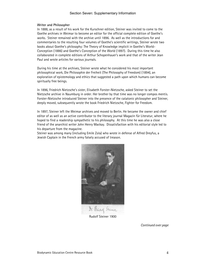#### Writer and Philosopher

In 1888, as a result of his work for the Kurschner edition, Steiner was invited to come to the Goethe archives in Weimar to become an editor for the official complete edition of Goethe's works. Steiner remained with the archive until 1896. As well as the introductions for and commentaries to the resulting four volumes of Goethe's scientific writings, Steiner wrote two books about Goethe's philosophy: The Theory of Knowledge implicit in Goethe's World-Conception (1886) and Goethe's Conception of the World (1897). During this time he also collaborated in complete editions of Arthur Schopenhauer's work and that of the writer Jean Paul and wrote articles for various journals.

During his time at the archives, Steiner wrote what he considered his most important philosophical work, Die Philosophie der Freiheit (The Philosophy of Freedom) (1894), an exploration of epistemology and ethics that suggested a path upon which humans can become spiritually free beings.

In 1896, Friedrich Nietzsche's sister, Elisabeth Forster-Nietzsche, asked Steiner to set the Nietzsche archive in Naumburg in order. Her brother by that time was no longer compos mentis. Forster-Nietzsche introduced Steiner into the presence of the catatonic philosopher and Steiner, deeply moved, subsequently wrote the book Friedrich Nietzsche, Fighter for Freedom.

In 1897, Steiner left the Weimar archives and moved to Berlin. He became the owner and chief editor of as well as an active contributor to the literary journal Magazin für Literatur, where he hoped to find a readership sympathetic to his philosophy. At this time he was also a close friend of the anarchist writer John Henry Mackay. Dissatisfaction with his editorial style led to his departure from the magazine.

Steiner was among many (including Emile Zola) who wrote in defense of Alfred Dreyfus, a Jewish Captain in the French army falsely accused of treason.



Rudolf Steiner 1900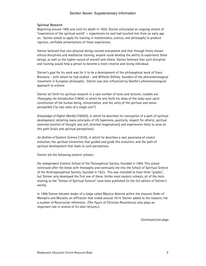#### Section Seven: Supplementary Information

#### Spiritual Research

Beginning around 1900 and until his death in 1925, Steiner articulated an ongoing stream of "experiences of the spiritual world" — experiences he said had touched him from an early age on. Steiner aimed to apply his training in mathematics, science, and philosophy to produce rigorous, verifiable presentations of those experiences.

Steiner believed that non-physical beings existed everywhere and that through freely chosen ethical disciplines and meditative training, anyone could develop the ability to experience these beings, as well as the higher nature of oneself and others. Steiner believed that such discipline and training would help a person to become a more creative and loving individual.

Steiner's goal for his work was for it to be a development of the philosophical work of Franz Brentano - with whom he had studied - and Wilhelm Dilthey, founders of the phenomenological movement in European philosophy. Steiner was also influenced by Goethe's phenomenological approach to science.

Steiner set forth his spiritual research in a vast number of texts and lectures; notable are: Theosophy: An Introduction (1904), in which he sets forth his ideas of the body-soul-spirit constitution of the human being, reincarnation, and the unity of the spiritual and senseperceptible ("as two sides of a single coin").

Knowledge of Higher Worlds (1904/5), in which he describes his conception of a path of spiritual development, detailing many principles of life (openness, positivity, respect for others), spiritual exercises (control of thought and will, directed imaginations) and experiences likely to arise on this path (trials and spiritual perceptions).

An Outline of Esoteric Science (1910), in which he describes a vast panorama of cosmic evolution, the spiritual hierarchies that guided and guide this evolution, and the path of spiritual development that leads to such perceptions.

Steiner led the following esoteric schools:

His independent Esoteric School of the Theosophical Society, founded in 1904. This school continued after the break with theosophy and eventually led into the School of Spiritual Science of the Anthroposophical Society, founded in 1923. This was intended to have three "grades", but Steiner only developed the first one of these. Unlike most esoteric schools, all of the texts relating to the "School of Spiritual Science" have been published (in the full edition of Steiner's works).

In 1906 Steiner became leader of a lodge called Mystica Aeterna within the masonic Order of Memphis and Mizraim, an affiliation that ended around 1914. Steiner added to the masonic rite a number of Rosicrucian references. (The figure of Christian Rosenkreutz also plays an important role in several of his later lectures.)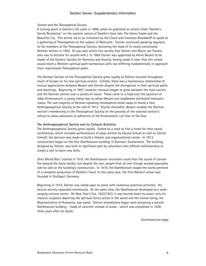#### Section Seven: Supplementary Information

#### Steiner and the Theosophical Society

A turning point in Steiner's life came in 1899, when he published an article titled "Goethe's Secret Revelation" on the esoteric nature of Goethe's fairy tale, The Green Snake and the Beautiful Lily. This article led to an invitation by the Count and Countess Brockdorff to speak to a gathering of Theosophists on the subject of Nietzsche. Steiner continued speaking regularly to the members of the Theosophical Society, becoming the head of its newly constituted German section in 1902. (It was also within this society that Steiner met Marie von Sievers, who was to become his second wife.) In 1904 Steiner was appointed by Annie Besant to be leader of the Esoteric Society for Germany and Austria, having made it clear that this school would teach a Western spiritual path harmonious with, but differing fundamentally in approach from, mainstream Theosophical paths.

The German Section of the Theosophical Society grew rapidly as Steiner lectured throughout much of Europe on his new spiritual science. Initially, there was a harmonious relationship of mutual appreciation between Besant and Steiner despite the divergences in their spiritual paths and teachings. Beginning in 1907, however, tensions began to grow between the main society and the German section over a variety of issues. These came to a head over the question of Jiddu Krishnamurti, a young Indian boy to whom Besant and Leadbeater attributed messianic status. The vast majority of German-speaking theosophists broke away to found a new Anthroposophical Society at the end of 1912. Shortly thereafter, Besant revoked the German section's membership in the Theosophical Society on the grounds of the national section's refusal to allow admission to adherents of the Krishnamurti cult Star of the East.

#### The Anthroposophical Society and its Cultural Activities

The Anthroposophical Society grew rapidly. Fueled by a need to find a home for their yearly conferences, which included performances of plays written by Eduard Schuré as well as Steiner himself, the decision was made to build a theater and organizational center. In 1913, construction began on the first Goetheanum building, in Dornach, Switzerland. The building, designed by Steiner, was built to significant part by volunteers who offered craftsmanship or simply a will to learn new skills.

Once World War I started in 1914, the Goetheanum volunteers could hear the sound of cannon fire beyond the Swiss border, but despite the war, people from all over Europe worked peaceably side by side on the building's construction. In 1919, the Goetheanum staged the world premiere of a complete production of Goethe's Faust. In this same year, the first Waldorf school was founded in Stuttgart, Germany.

Beginning in 1919, Steiner was called upon to assist with numerous practical activities. His lecture activity expanded enormously. At the same time, the Goetheanum developed as a wideranging cultural centre. On New Year's Eve, 1922/1923, it was burned down by arson; only his massive sculpture depicting the spiritual forces active in the world and the human being, the Representative of Humanity, was saved. Steiner immediately began work designing a second Goetheanum building – made of concrete instead of wood – which was completed in 1928, three years after his death.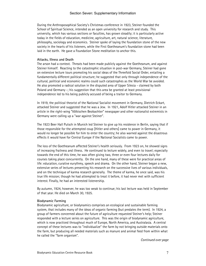During the Anthroposophical Society's Christmas conference in 1923, Steiner founded the School of Spiritual Science, intended as an open university for research and study. This university, which has various sections or faculties, has grown steadily; it is particularly active today in the fields of education, medicine, agriculture, art, natural science, literature, philosophy, sociology and economics. Steiner spoke of laying the foundation stone of the new society in the hearts of his listeners, while the First Goetheanum's foundation stone had been laid in the earth. He gave a Foundation Stone meditation to anchor this.

#### Attacks, Illness and Death

The arson had a context. Threats had been made publicly against the Goetheanum, and against Steiner himself. Reacting to the catastrophic situation in post-war Germany, Steiner had gone on extensive lecture tours promoting his social ideas of the Threefold Social Order, entailing a fundamentally different political structure; he suggested that only through independence of the cultural, political and economic realms could such catastrophes as the World War be avoided. He also promoted a radical solution in the disputed area of Upper Silesia - claimed by both Poland and Germany -; his suggestion that this area be granted at least provisional independence led to his being publicly accused of being a traitor to Germany.

In 1919, the political theorist of the National Socialist movement in Germany, Dietrich Eckart, attacked Steiner and suggested that he was a Jew. In 1921, Adolf Hitler attacked Steiner in an article in the right-wing "Völkischen Beobachter" newspaper and other nationalist extremists in Germany were calling up a "war against Steiner".

The 1923 Beer Hall Putsch in Munich led Steiner to give up his residence in Berlin, saying that if those responsible for the attempted coup [Hitler and others] came to power in Germany, it would no longer be possible for him to enter the country; he also warned against the disastrous effects it would have for Central Europe if the National Socialists came to power.

The loss of the Goetheanum affected Steiner's health seriously. From 1923 on, he showed signs of increasing frailness and illness. He continued to lecture widely, and even to travel; especially towards the end of this time, he was often giving two, three or even four lectures daily for courses taking place concurrently. On the one hand, many of these were for practical areas of life: education, curative eurythmy, speech and drama. On the other hand, Steiner began a new, extensive series of lectures presenting his research on the successive lives of various individuals, and on the technique of karma research generally. The theme of karma, he once said, was his true life mission; though he had attempted to treat it before, it had never met with sufficient interest. Finally, he had an interested listenership.

By autumn, 1924, however, he was too weak to continue; his last lecture was held in September of that year. He died on March 30, 1925.

#### Biodynamic Farming

Biodynamic agriculture, or biodynamics comprises an ecological and sustainable farming system, that includes many of the ideas of organic farming (but predates the term). In 1924, a group of farmers concerned about the future of agriculture requested Steiner's help; Steiner responded with a lecture series on agriculture. This was the origin of biodynamic agriculture, which is now practiced throughout much of Europe, North America, and Australasia. A central concept of these lectures was to "individualize" the farm by not bringing outside materials onto the farm, but producing all needed materials such as manure and animal feed from within what he called the "farm organism".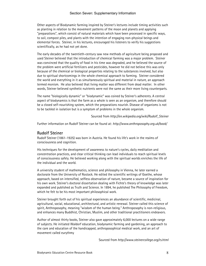#### Section Seven: Supplementary Information

Other aspects of Biodynamic farming inspired by Steiner's lectures include timing activities such as planting in relation to the movement patterns of the moon and planets and applying "preparations", which consist of natural materials which have been processed in specific ways, to soil, compost piles, and plants with the intention of engaging non-physical beings and elemental forces. Steiner, in his lectures, encouraged his listeners to verify his suggestions scientifically, as he had not yet done.

The early decades of the twentieth-century saw new methods of agriculture being proposed and used Steiner believed that the introduction of chemical farming was a major problem. Steiner was convinced that the quality of food in his time was degraded, and he believed the source of the problem were artificial fertilizers and pesticides, however he did not believe this was only because of the chemical or biological properties relating to the substances involved, but also due to spiritual shortcomings in the whole chemical approach to farming. Steiner considered the world and everything in it as simultaneously spiritual and material in nature, an approach termed monism. He also believed that living matter was different from dead matter. In other words, Steiner believed synthetic nutrients were not the same as their more living counterparts.

The name "biologically dynamic" or "biodynamic" was coined by Steiner's adherents. A central aspect of biodynamics is that the farm as a whole is seen as an organism, and therefore should be a closed self-nourishing system, which the preparations nourish. Disease of organisms is not to be tackled in isolation but is a symptom of problems in the whole organism.

#### Sourced from http://en.wikipedia.org/wiki/Rudolf\_Steiner

Further information on Rudolf Steiner can be found at: http://www.anthroposophy.org.uk/book/

#### Rudolf Steiner

Rudolf Steiner (1861-1925) was born in Austria. He found his life's work in the realms of consciousness and cognition.

His techniques for the development of awareness to nature's cycles, daily meditation and concentration practices, and clear critical thinking can lead individuals to reach spiritual levels of consciousness safely. He believed working along with the spiritual worlds enriches the life of the individual and the world.

A university student of mathematics, science and philosophy in Vienna, he later earned a doctorate from the University of Rostock. He edited the scientific writings of Goethe, whose approach, based on intensified, selfless observation of nature, became a source of inspiration for his own work. Steiner's doctoral dissertation dealing with Fichte's theory of knowledge was later expanded and published as Truth and Science. In 1894, he published The Philosophy of Freedom, which he felt to be his most important philosophical work.

Steiner brought forth out of his spiritual experiences an abundance of scientific, medicinal, agricultural, social, educational, architectural, and artistic renewal. Steiner called this science of spirit, Anthroposophy, meaning "wisdom of the human being." Anthroposophy is non-religious, and enhances many Buddhist, Christian, Muslim, and other traditional practitioners endeavors.

Author of almost thirty books, Steiner also gave approximately 6,000 lectures on a wide range of subjects. He initiated Waldorf education, biodynamic farming and gardening, an approach to the care and education of the handicapped, anthroposophical medical work, and an art of movement called eurythmy

Sourced from http://www.steinercollege.org/rs.html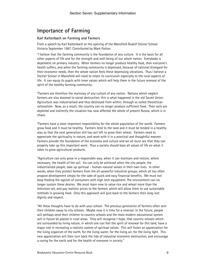# Importance of Farming

#### Karl Kaltenbach on Farming and Farmers

From a speech by Karl Kaltenbach at the opening of the Mansfield Rudolf Steiner School Victoria September 1997. Contributed by Mark Patton.

"I believe that the farming community is the foundation of any culture. It is the basis for all other aspects of life and for the strength and well-being of our whole nation. Everybody is dependent on primary industry. When farmers no longer produce healthy food, then everyone's health suffers, and when the farming community is depressed, because of national disregard for their economic needs, then the whole nation feels these depressing vibrations. Thus I believe a Steiner School in Mansfield will need to relate its curriculum especially to the rural aspects of life. It can equip its pupils with inner values which will help them in the future renewal of the spirit of the healthy farming community.

"Farmers are therefore the mainstay of any culture of any nation. Nations which neglect farmers are also doomed to social destruction. this is what happened in the old Soviet Union. Agriculture was industrialised and thus destroyed from within, through so called theoreticalrationalism. Now, as a result, the country can no longer produce sufficient food. Their soils are depleted and indirectly the situation has now affected the whole of present Russia, which is in chaos.

"Farmers have a most important responsibility for the whole population of the world. Farmers grow food and it must be healthy. Farmers tend to the land and it must be tended in a healthy way so that the next generation still has soil left to grow their wheat. Farmers need to appreciate the spirituality in nature, and work with it in a practical and thoughtful manner. Farmers provide the foundation of the economy and culture and we all must see that they can properly take up this important work: Thus a society should base all values of life on what it takes to grow agricultural products.

"Agriculture can only grow in a responsible way, when it can maintain and restore, where necessary, the health of the soil. his can only be achieved when the city people, the industrialised people, take up spiritual - human-natural values in their own lives. In other words, when they protect farmers from the all-powerful industrial groups, which all too often propose development simply for the sake of quick and easy financial benefits. We must not keep feeding the egoism of consumers with high tech equipment. The environment can no longer sustain these desires. We must learn now to value rice and wheat more than the television set, and pay realistic prices to the farmers which will allow them to use sustainable methods in growing food. Only this approach will give back to the farmers their long-lost dignity and respect.

"All these thoughts have to do with your school. The previous generation of farmers often sent their children away to city schools. Maybe now it is time for a reversal. In the future, people will perhaps send their children to country schools and the most modern educational system will in future be placed in rural areas. They will recognise I hope, that country schools which are surrounded by living nature, in which one can feel the spirit of renewal for this land, have a major role in recreating a realistic system of spiritual values. This will foster an appreciation for the living organism of the earth, for the living water, for the living air, for the living light. This new appreciation will then turn back the tide of industrial economic destruction, and encourage a caring for the earth and for the health of everyone in society."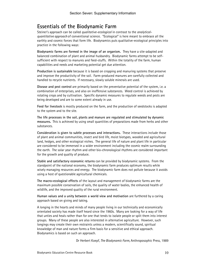# Essentials of the Biodynamic Farm

Steiner's approach can be called qualitative-ecological in contrast to the analyticalquantitative approach of conventional science. "Ecological" is here meant to embrace all the earthly and cosmic forces that form life. Biodynamics puts qualitative-ecological principles into practice in the following ways:

Biodynamic farms are formed in the image of an organism. They have a site-adapted and balanced combination of plant and animal husbandry. Biodynamic farms attempt to be selfsufficient with respect to manures and feed-stuffs. Within the totality of the farm, human capabilities and needs and marketing potential get due attention.

Production is sustainable because it is based on cropping and manuring systems that preserve and improve the productivity of the soil. Farm-produced manures are carefully collected and handled to recycle nutrients. If necessary, slowly soluble minerals are used.

Disease and pest control are primarily based on the preventative potential of the system, i.e. a combination of enterprises, and also on inoffensive substances. Weed control is achieved by rotating crops and by cultivation. Specific dynamic measures to regulate weeds and pests are being developed and are to some extent already in use.

Feed for livestock is mostly produced on the farm, and the production of seedstocks is adapted to the system and to the site.

The life processes in the soil, plants and manure are regulated and stimulated by dynamic measures. This is achieved by using small quantities of preparations made from herbs and other substances.

Consideration is given to subtle processes and interactions. These interactions include those of plant and animal communities, insect and bird life, moist biotypes, wooded and agricultural land, hedges, and other ecological niches. The general life of nature and plant life in particular are considered to be immersed in a wider environment including the cosmic realm surrounding the earth. The solar year rhythm and other bio-chronological rhythms are considered important for the growth and quality of produce.

Stable and satisfactory economic returns can be provided by biodynamic systems. From the standpoint of the national economy, the biodynamic farm produces optimum results while wisely managing resources and energy. The biodynamic farm does not pollute because it avoids using a host of questionable agricultural chemicals.

The macro-ecological effects of the layout and management of biodynamic farms are the maximum possible conservation of soils, the quality of water bodies, the enhanced health of wildlife, and the improved quality of the rural environment.

Human values and a unity between a world view and motivation are furthered by a caring approach based on giving and taking.

A longing in the hearts and minds of many people living in our technically and economically orientated society has made itself heard since the 1960s. Many are looking for a way of life that unties and heals rather than for one that tends to isolate people or split them into interest groups. Many of these people are also interested in alternative agriculture. However, such longings may create their own restraints unless a modern, scientifically sound, spiritual knowledge of man and nature forms a firm basis for a sensitive and ethical approach. Biodynamics is based on such an approach.

Dr Herbert Koepf, The Biodynamic Farm, Anthroposophic Press, 1989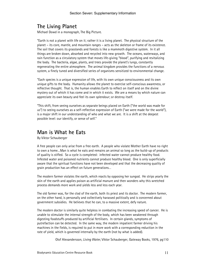# The Living Planet

Michael Dowd in a monograph, The Big Picture.

"Earth is not a planet with life on it; rather it is a living planet. The physical structure of the planet – its core, mantle, and mountain ranges – acts as the skeleton or frame of its existence. The soil that covers its grasslands and forests is like a mammoth digestive system. In it all things are broken down, absorbed and recycled into new growth. The oceans, waterways, and rain function as a circulatory system that moves life-giving "blood", purifying and revitalizing the body. The bacteria, algae, plants, and trees provide the planet's lungs, constantly regenerating the entire atmosphere. The animal kingdom provides the functions of a nervous system, a finely tuned and diversified series of organisms sensitized to environmental change.

"Each species is a unique expression of life, with its own unique consciousness and its own unique gifts to the body. Humanity allows the planet to exercise self-conscious awareness, or reflective thought. That is, the human enables Earth to reflect on itself and on the divine mystery out of which it has come and in which it exists. We are a means by which nature can appreciate its own beauty and feel its own splendour; or destroy itself.

"This shift, from seeing ourselves as separate beings placed on Earth ("the world was made for us") to seeing ourselves as a self-reflective expression of Earth ("we were made for the world"), is a major shift in our understanding of who and what we are. It is a shift at the deepest possible level: our identify, or sense of self."

# Man is What he Eats

By Viktor Schauberger

A free people can only arise from a free earth. A people who violate Mother Earth have no right to own a home…Man is what he eats and remains an animal so long as the build-up of products of quality is stifled. So a cycle is completed: infected water cannot produce healthy food. Infested water and poisoned nutrients cannot produce healthy blood. One is only superficially aware that the spiritual functions have not been developed and that the decreasing quality of grain production has an effect on future generations…

The modern farmer violates the earth, which reacts by opposing her sungod. He strips yearly the skin of the earth and applies poison as artificial manure and then wonders why this wretched process demands more work and yields less and less each year.

The old farmer was, for the clod of the earth, both its priest and its doctor. The modern farmer, on the other hand, is personally and collectively harassed politically and is concerned about government subsidies. He believes that he can, to a massive extent, defy nature.

The modern doctor is similarly quite helpless in combating the increasing speed of cancer. He is unable to stimulate the internal strength of the body, which has been weakened through digesting foodstuffs produced by artificial fertilisers. In certain glands, symptoms of putrefaction can be detected. In the same way, the modern impatient farmer driving his machines in the fields, is required to put in more work with a corresponding reduction in the rate of yield, which is governed internally by the earth (not by what is added).

Olof Alexandersson, Living Water, Viktor Schauberger, Gateway Books, 1976, pg110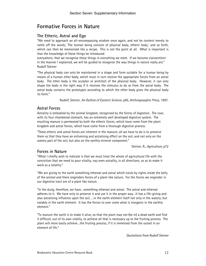# Formative Forces in Nature

### The Etheric, Astral and Ego

"We need to approach an all-encompassing wisdom once again, and not be content merely to rattle off the words; 'The human being consists of physical body, etheric body,' and so forth, which can then be memorised like a recipe. This is not the point at all. What is important is that the knowledge of these things be introduced

everywhere, that we recognise these things in everything we meet. If we become clairsentient in the manner I explained, we will be guided to recognise the way things in nature really are." Rudolf Steiner

"The physical body can only be maintained in a shape and form suitable for a human being by means of a human ether body, which must in turn receive the appropriate forces from an astral body. The ether body is the sculptor or architect of the physical body. However, it can only shape the body in the right way if it receives the stimulus to do so from the astral body. The astral body contains the prototypes according to which the ether body gives the physical body its form."

Rudolf, Steiner, An Outline of Esoteric Science, p65, Anthroposophic Press, 1997.

### Astral Forces

Astrality is embodied by the animal kingdom, recognised by the forces of digestion. The cow; with its four chambered stomach, has an extremely well developed digestive system. The resulting manure is permeated by both the etheric forces; which have come from the plant kingdom and astral forces; which have come from a thorough digestive process.

"These etheric and astral forces are inherent in the manure; all we have to do is to preserve them so that they have an enlivening and astralising effect on the soil, and not only on the watery part of the soil, but also on the earthly mineral component."

Steiner, R., Agriculture, p72

### Forces in Nature

"What I chiefly wish to indicate is that we must treat the whole of agricultural life with the conviction that we need to pour vitality, nay even astrality, in all directions, so as to make it work as a totality."

"We are giving to the earth something ethereal and astral which exists by rights inside the belly of the animal and there engenders forces of a plant-like nature. For the forces we engender in our digestive tract are of a plant like nature.

"In the dung, therefore, we have…something ethereal and astral. The astral and ethereal adheres to it. We have only to preserve it and use it in the proper way…It has a life-giving and also astralising influence upon the soil, …in the earth-element itself not only in the watery; but notably in the earth element. It has the forces to over come what is inorganic in the earthly element."

"To manure the earth is to make it alive, so that the plant may not (be in) a dead earth and find it difficult, out of its own vitality, to achieve all that is necessary up to the fruiting process. The plant will more easily achieve…the fruiting process, if it is immersed from the outset in an element of life."

Quotations from Rudolf Steiner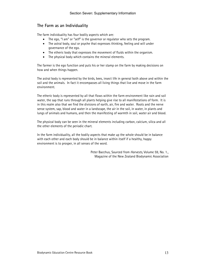### The Farm as an Individuality

The farm individuality has four bodily aspects which are:

- The ego, "I am" or "self" is the governor or regulator who sets the program.
- The astral body, soul or psyche that expresses thinking, feeling and will under governance of the ego.
- The etheric body that expresses the movement of fluids within the organism.
- The physical body which contains the mineral elements.

The farmer is the ego function and puts his or her stamp on the farm by making decisions on how and when things happen.

The astral body is represented by the birds, bees, insect life in general both above and within the soil and the animals. In fact it encompasses all living things that live and move in the farm environment.

The etheric body is represented by all that flows within the farm environment like rain and soil water, the sap that runs through all plants helping give rise to all manifestations of form. It is in this realm also that we find the divisions of earth, air, fire and water. Roots and the nerve sense system, sap, blood and water in a landscape, the air in the soil, in water, in plants and lungs of animals and humans, and then the manifesting of warmth in soil, water air and blood.

The physical body can be seen in the mineral elements including carbon, calcium, silica and all the other elements of the periodic chart.

In the farm individuality, all the bodily aspects that make up the whole should be in balance with each other and each body should be in balance within itself if a healthy, happy environment is to prosper, in all senses of the word.

> Peter Bacchus, Sourced from Harvests, Volume 59, No. 1., Magazine of the New Zealand Biodynamic Association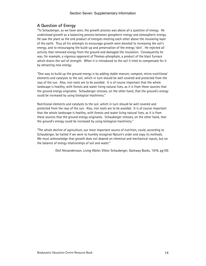# A Question of Energy

"To Schauberger, as we have seen, the growth process was above all a question of energy. He understood growth as a balancing process between geospheric energy and atmospheric energy. He saw the plant as the end product of energies meeting each other above the insulating layer of the earth. Thus all his attempts to encourage growth were devoted to increasing the soil's energy, and to encouraging the build-up and preservation of the energy 'skin'. He rejected all activity that removed energy from the ground and damaged the insulation. Consequently he was, for example, a vigorous opponent of Thomas-phosphate, a product of the blast furnace which drains the soil of strength. When it is introduced to the soil it tried to compensate for it by attracting new energy.

"One way to build up the ground energy is by adding stable manure, compost, micro-nutritional elements and catalysts to the soil, which in turn should be well covered and protected from the rays of the sun. Also, iron tools are to be avoided. It is of course important that the whole landscape is healthy, with forests and water living natural lives, as it is from these sources that the ground energy originates. Schauberger stresses, on the other hand, that the ground's energy could be increased by using biological machinery."

Nutritional elements and catalysts to the soil, which in turn should be well covered and protected from the rays of the sun. Also, iron tools are to be avoided. It is of course important that the whole landscape is healthy, with forests and water living natural lives, as it is from these sources that the ground energy originates. Schauberger stresses, on the other hand, that the ground's energy could be increased by using biological machinery."

"The whole decline of agriculture, our most important source of nutrition, could, according to Schauberger, be halted if we were to humbly recognise Nature's order and copy its methods. We must acknowledge that growth does not depend on chemical and mechanical inputs, but on the balance of energy relationships of soil and water."

Olof Alexandersson, Living Water, Viktor Schauberger, Gateway Books, 1976, pg105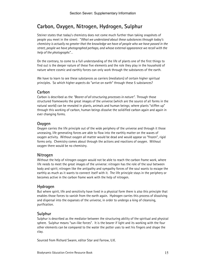# Carbon, Oxygen, Nitrogen, Hydrogen, Sulphur

Steiner states that today's chemistry does not come much further than taking snapshots of people you meet in the street: "What we understand about these substances through today's chemistry is actually no greater that the knowledge we have of people who we have passed in the street, people we have photographed perhaps, and whose external appearance we recall with the help of the photographs"…

On the contrary, to come to a full understanding of the life of plants one of the first things to find out is the deeper nature of these five elements and the role they play in the household of nature where cosmic and earthly forces can only work through the substances of the earth.

We have to learn to see these substances as carriers (mediators) of certain higher spiritual principles. So which higher aspects do "arrive on earth" through these 5 substances?

### **Carbon**

Carbon is described as the "Bearer of all structuring processes in nature". Through those structured frameworks the great images of the universe (which are the source of all forms in the natural world) can be revealed in plants, animals and human beings; where plants "stiffen up" through this working of carbon, human beings dissolve the solidified carbon again and again in ever changing forms.

### Oxygen

Oxygen carries the life principle out of the wide periphery of the universe and through it those unceasing, life generating forces are able to flow into the earthly matter on the waves of oxygen activity. Without oxygen all matter would be dead and would appear as "frozen", rigid forms only. Chemistry comes about through the actions and reactions of oxygen. Without oxygen there would be no chemistry.

### Nitrogen

Without the help of nitrogen oxygen would not be able to reach the carbon frame work, where life needs to meet the great images of the universe: nitrogen has the role of the soul between body and spirit; nitrogen like the antipathy and sympathy forces of the soul wants to escape the earthly as much as it wants to connect itself with it. The life principle stays in the periphery or becomes active in the carbon frame work with the help of nitrogen.

### Hydrogen

But where spirit, life and sensitivity have lived in a physical form there is also this principle that enables those forces to vanish from the earth again. Hydrogen carries this process of dissolving and dispersal into the expanses of the universe, in order to undergo a king of cleansing, purification.

### Sulphur

Sulphur is described as the mediator between the structuring ability of the spiritual and physical sphere. Sulphur means "sun-like forces". It is the bearer if light and its working with the four other elements can be compared to the water the potter uses to wet his fingers and shape the clay.

Sourced from Richard Swann, editor Star and Farrow, U.K.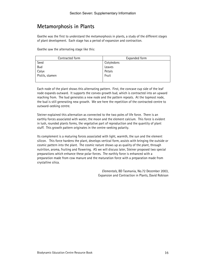# Metamorphosis in Plants

Goethe was the first to understand the metamorphosis in plants, a study of the different stages of plant development. Each stage has a period of expansion and contraction.

Goethe saw the alternating stage like this:

| Contracted form | Expanded form |
|-----------------|---------------|
| Seed            | Cotyledons    |
| <b>Bud</b>      | Leaves        |
| Calyx           | Petals        |
| Pistils, stamen | Fruit         |
|                 |               |

Each node of the plant shows this alternating pattern. First, the concave cup side of the leaf node expands outward. It supports the convex growth bud, which is contracted into an upward reaching from. The bud generates a new node and the pattern repeats. At the topmost node, the bud is still generating new growth. We see here the repetition of the contracted-centre to outward-seeking centre.

Steiner explained this alternation as connected to the two poles of life force. There is an earthly forces associated with water, the moon and the element calcium. This force is evident in lush, rounded plants forms, the vegetative part of reproduction and the quantity of plant stuff. This growth pattern originates in the centre-seeking polarity.

Its complement is a maturing forces associated with light, warmth, the sun and the element silicon. This force hardens the plant, develops vertical form, assists with bringing the outside or cosmic pattern into the plant. The cosmic nature shows up as quality of the plant, through nutrition, aroma, fruiting and flowering. AS we will discuss later, Steiner proposed two special preparations which enhance these polar forces. The earthly force is enhanced with a preparation made from cow manure and the maturation force with a preparation made from crystalline silica.

> Elementals, BD Tasmania, No.72 December 2003, Expansion and Contraction in Plants, David Robison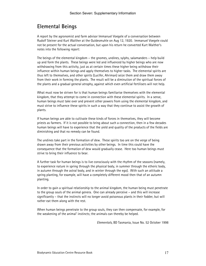# Elemental Beings

A report by the agronomist and farm advisor Immanuel Voegele of a conversation between Rudolf Steiner and Kurt Walther at the Guldesmuhle on Aug 12, 1920. Immanuel Voegele could not be present for the actual conversation, but upon his return he converted Kurt Walther's notes into the following report:

The beings of the elemental kingdom – the gnomes, undines, sylphs, salamanders – help build up and form the plants. These beings were led and influenced by higher beings who are now withdrawing from this activity, just as at certain times these higher being withdraw their influence within human beings and apply themselves to higher tasks. The elemental spirits are thus left to themselves, and other spirits (Lucifer, Ahriman) seize them and draw them away from their work in forming the plants. The result will be a diminution of the spiritual forces of the plants and a gradual general atrophy, against which even artificial fertilisers will not help.

What must now be striven for is that human beings familiarise themselves with the elemental kingdom, that they attempt to come in connection with these elemental spirits. In a sense, human beings must take over and prevent other powers from using the elemental kingdom, and must strive to influence these spirits in such a way that they continue to assist the growth of plants.

If human beings are able to cultivate these kinds of forces in themselves, they will become priests as farmers. If it is not possible to bring about such a connection, then in a few decades human beings will have to experience that the yield and quality of the products of the fields are diminishing and that no remedy can be found.

The undines take part in the formation of dew. These spirits too are on the verge of being drawn away from their previous activities by other beings. In time this could have the consequence that the formation of dew would gradually cease. Here too human beings must strive to bring their influence to bear.

A further task for human beings is to live consciously with the rhythm of the seasons (namely, to experience nature in spring through the physical body, in summer through the etheric body, in autumn through the astral body, and in winter through the ego). With such an attitude a spring planting, for example, will have a completely different mood then that of an autumn planting.

In order to gain a spiritual relationship to the animal kingdom, the human being must penetrate to the group souls of the animal genera. One can already perceive – and this will increase significantly – that the instincts will no longer avoid poisonous plants in their fodder, but will rather eat them along with the rest.

When human beings penetrate to the group souls, they can then compensate, for example, for the weakening of the animal' instincts; the animals can thereby be helped.

Elementals, BD Tasmania, Issue No. 52 October 1998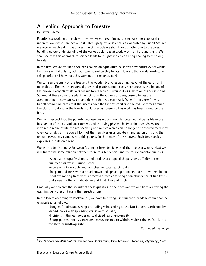# A Healing Approach to Forestry

#### By Pieter Tideman

Polarity is a working principle with which we can examine nature to learn more about the inherent laws which are active in it. Through spiritual science, as elaborated by Rudolf Steiner, we receive much aid in the process. In this article we shall turn our attention to the trees, building up our understanding of the various polarities at work within and around them. We shall see that this approach to science leads to insights which can bring healing to the dying forests.

In the first lecture of Rudolf Steiner's course on agriculture he shows how nature exists within the fundamental polarity between cosmic and earthly forces. How are the forests involved in this polarity, and how does this work out in the landscape?

We can see the trunk of the tree and the wooden branches as an upheaval of the earth, and upon this uplifted earth an annual growth of plants sprouts every year anew as the foliage of the crown. Every plant attracts cosmic forces which surround it as a more or less dense cloud. So around these numerous plants which form the crowns of trees, cosmic forces are accumulating to such an extent and density that you can nearly "smell" it in close forests. Rudolf Steiner indicates that the insects have the task of stabilizing the cosmic forces around the plants. To do so in the forests would overtask them, so this work has been shared by the birds.

We might expect that the polarity between cosmic and earthly forces would be visible in the interaction of the natural environment and the living physical body of the tree. As we are within the realm of life, we are speaking of qualities which can no longer be observed merely by chemical analysis. The overall form of the tree gives us a long-term impression of it, and the annual leaves may demonstrate this polarity in the shape of their leaves. Each tree species expresses it in its own way.

We will try to distinguish between four main form-tendencies of the tree as a whole. Next we will try to find some relation between these four tendencies and the four elemental qualities.

-A tree with superficial roots and a tall sharp-topped shape shows affinity to the quality of warmth: Spruce, Beech.

-A tree with heavy bole and branches indicates earth: Oaks.

-Deep-rooted trees with a broad crown and spreading branches, point to water: Linden. -Shallow-rooting trees with a graceful crown consisting of an abundance of fine twigs that sweep in the air indicate air and light: Elm and Birch.

Gradually we perceive the polarity of these qualities in the tree: warmth and light are taking the cosmic side, water and earth the terrestrial one.

In the leaves according to Bockemuhl2, we have to distinguish four form-tendencies that can be chacterised as follows:

-Long leaf-stalks and strong protruding veins ending at the leaf borders: earth-quality.

-Broad leaves with spreading veins: water-quality.

-Incisions in the leaf border up to divided leaf: light-quality.

-Sharp-pointed, small, contracted leaves inclined to withdraw along the leaf stalk into the stem: warmth-quality.

Continued over page

 $\overline{a}$ 

<sup>&</sup>lt;sup>2</sup> In Partnership With Nature, By Jochen Bockemuhl, Bio-Dynamic Literature, Wyoming, 1981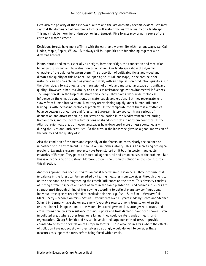Here also the polarity of the first two qualities and the last ones may become evident. We may say that the dominance of coniferous forests will sustain the warmth-quality of a landscape. This may include more light (Hemlock) or less (Spruce). Pine forests may bring in some of the earth and water element.

Deciduous forests have more affinity with the earth and watery life within a landscape, e.g. Oak, Linden, Maple, Poplar, Willow. But always all four qualities are functioning together with different accents.

Plants, shrubs and trees, especially as hedges, form the bridge, the connection and mediation between the cosmic and terrestrial forces in nature. Our landscapes show the dynamic character of the balance between them. The proportion of cultivated fields and woodland dictates the quality of this balance. An open agricultural landscape, in the corn belt, for instance, can be characterized as young and vital, with an emphasis on production qualities. On the other side, a forest gives us the impression of an old and matured landscape of significant quality. However, it has less vitality and also less resistance against environmental influences. The virgin forests in the tropics illustrate this clearly. They have a worldwide ecological influence on the climatic conditions, on water supply and erosion. But they regenerate very slowly from human intervention. Now they are vanishing rapidly under human influence, leaving us with increasing ecological problems. In the temperate zones there is a rhythmical balance between agriculture and forests. In European history you can trace periods of denudation and afforestation, e.g. the severe denudation in the Mediterranean area during Roman times, and the recent reforestations of abandoned fields in northern countries. In the Atlantic region vast areas of hedge landscapes have developed more or less spontaneously during the 17th and 18th centuries. So the tress in the landscape gives us a good impression of the vitality and the quality of it.

Also the condition of the trees and especially of the forests indicates clearly the balance or imbalance of the environment. Air pollution diminishes vitality. This is an increasing ecological problem. Expensive research projects have been started on it both in western and eastern countries of Europe. They point to industrial, agricultural and urban causes of the problem. But this is only one side of the story. Moreover, there is no ultimate solution in the near future in this direction.

Another approach has been cultivates amongst bio-dynamic researchers. They recognise that imbalance in the forest can be remedied by healing measures from two sides: through diversity on the one hand, and strengthening the cosmic influences on the other. This diversity consists of mixing different species and ages of trees in the same plantation. And cosmic influences are strengthened through timing of tree sowing according to optimal planetary configurations. Individual tree species are related to particular planets, e.g. Ash – Sun; Elm – Mercury; Oak – Mars, Cherry – Moon, Conifers – Saturn. Experiments over 16 years made by Georg and Stephen Schmid in Germany have shown extremely favourable results among trees sown when the related planet is in opposition to the Moon. Improved germination, stronger root, trunk, and crown formation, greater resistance to fungus, pests and frost damage, have been shown. Even in polluted areas where other trees were failing, they could create islands of health and regeneration. Georg Schmidt and his son have planted large nurseries of trees to provide counter-force to the devastation of European forests. Those who live in areas where the effects of pollution have not yet shown themselves so strongly would do well to consider these measures to support the trees before being faced with a crisis.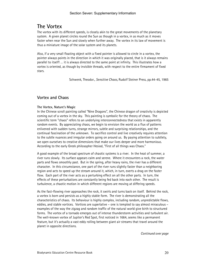# The Vortex

The vortex with its different speeds, is closely akin to the great movements of the planetary system. A given planet circles round the Sun as though in a vortex, in as much as it moves faster when near the Sun and slowly when further away. The vortex in its law of movement is thus a miniature image of the solar system and its planets.

Also, if a very small floating object with a fixed pointer is allowed to circle in a vortex, the pointer always points in the direction in which it was originally placed, that is it always remains parallel to itself! … it is always directed to the same point at infinity. This illustrates how a vortex is oriented, as though by invisible threads, with respect to the entire firmament of fixed stars.

Schwenk, Theodor., Sensitive Chaos, Rudolf Steiner Press, pp.44-45, 1965

## Vortex and Chaos

#### The Vortex, Nature's Magic

In the Chinese scroll painting called "Nine Dragons", the Chinese dragon of creativity is depicted coming out of a vortex in the sky. This painting is symbolic for the theory of chaos. The scientific term "chaos" refers to an underlying interconnectedness that exists in apparently random events. By appreciating chaos, we begin to envision the world as a flux of patterns enlivened with sudden turns, strange mirrors, subtle and surprising relationships, and the continual fascination of the unknown. To sacrifice control and live creatively requires attention to the subtle nuances and irregular orders going on around us. By paying attention to subtlety, we open ourselves to creative dimensions that make our lives deeper and more harmonious. According to the early Greek philosopher Hesiod, "First of all things was Chaos."

A good example of the broad spectrum of chaotic systems is a river. In the heat of summer, a river runs slowly. Its surface appears calm and serene. Where it encounters a rock, the water parts and flows smoothly past. But in the spring, after heavy rains, the river has a different character. In this circumstance, one part of the river runs slightly faster than a neighboring region and acts to speed up the stream around it, which, in turn, exerts a drag on the faster flow. Each part of the river acts as a perturbing effect on all the other parts. In turn, the effects of these perturbations are constantly being fed back into each other. The result is turbulence, a chaotic motion in which different regions are moving at differing speeds.

As the fast-flowing river approaches the rock, it swirls and turns back on itself. Behind the rock, a vortex is born and persists as a highly stable form. The river is demonstrating all the characteristics of chaos. Its behaviour is highly complex, including random, unpredictable flows, eddies, and stable vortices. Vortices are superlative – one is tempted to say almost miraculous – examples of the way the zigzag and random traffic of the natural world give birth to structured forms. The vortex of a tornado emerges out of intense thunderstorm activities and turbulent air. The well-known vortex of Jupiter's Red Spot, first noticed in 1664, seems like a permanent feature, but it's actually a vast eddy rolling between giant air streams that travel around the planet in opposite directions.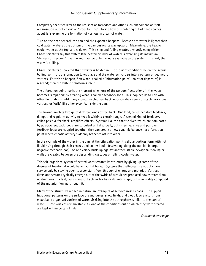Complexity theorists refer to the red spot as tornadoes and other such phenomena as "selforganisation out of chaos" or "order for free". To see how this ordering out of chaos comes about let's examine the formation of vortices in a pan of water.

Turn on the heat beneath the pan and the expected happens. Because hot water is lighter than cold water, water at the bottom of the pan pushes its way upward. Meanwhile, the heavier, cooler water at the top settles down. This rising and falling creates a chaotic competition. Chaos scientists say this system (the heated cylinder of water) is exercising its maximum "degrees of freedom," the maximum range of behaviours available to the system. In short, the water is boiling.

Chaos scientists discovered that if water is heated in just the right conditions below the actual boiling point, a transformation takes place and the water self-orders into a pattern of geometric vortices. For this to happen, first what is called a "bifurcation point" (point of departure) is reached; then the system transforms itself.

The bifurcation point marks the moment when one of the random fluctuations in the water becomes "amplified" by creating what is called a feedback loop. This loop begins to link with other fluctuations until many interconnected feedback loops create a series of stable hexagonal vortices, or "cells" like a honeycomb, inside the pan.

This linking involves two quite different kinds of feedback. One kind, called negative feedback, damps and regulates activity to keep it within a certain range. A second kind of feedback, called positive feedback, amplifies effects. Systems like the chaotic river, which are dominated by positive feedback loops, are turbulent and disorderly, but when negative and positive feedback loops are coupled together, they can create a new dynamic balance – a bifurcation point where chaotic activity suddenly branches off into order.

In the example of the water in the pan, at the bifurcation point, cellular vortices form with hot liquid rising through their centres and colder liquid descending along the outside (a large negative feedback loop). As one vortex butts up against another, stable hexagonal flowing cell walls are created between the descending cascades of falling cooler water.

This self-organised system of heated water creates its structure by giving up some of the degrees of freedom it would have had if it boiled. Systems that self-organise out of chaos survive only by staying open to a constant flow-through of energy and material. Vortices in rivers and streams typically emerge out of the swirls of turbulence produced downstream from obstructions in a fast, deep current. Each vortex has a definite shape, but is in reality composed of the material flowing through it.

Many of the structures we see in nature are examples of self-organised chaos. The cupped, hexagonal patterns on the surface of sand dunes, snow fields, and cloud layers result from chaotically organised vortices of warm air rising into the atmosphere, similar to the pan of water. These vortices remain stable as long as the conditions out of which they were created are kept within certain limits.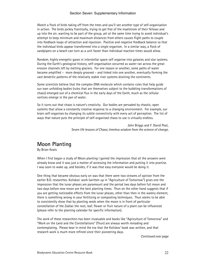Watch a flock of birds taking off from the trees and you'll see another type of self-organisation in action. The birds jockey frantically, trying to get free of the maelstrom of their fellows and up into the air, wanting to be part of the group, yet at the same time trying to avoid individual's attempt to keep minimum and maximum distances from others causes flight paths to couple into feedback loops of attraction and repulsion. Positive and negative feedback balance so that the individual birds appear transformed into a single organism. In a similar way, a flock of sandpipers on a beach can turn as a unit faster than individual reaction times would allow.

Random, highly energetic gases in interstellar space self organise into galaxies and star systems. During the Earth's geological history, self-organisation occurred as water ran across the great erosion channels left by melting glaciers. For one reason or another, some paths of water became amplified – more deeply grooved – and linked into one another, eventually forming the vast dendritic patterns of the relatively stable river systems draining the continents.

Some scientists believe that the complex DNA molecule which contains rules that help guide our own unfolding bodies (rules that are themselves subject to the bubbling transformations of chaos) emerged out of a chemical flux in the early days of the Earth, much as the cellular vortices emerge in the pan of water.

So it turns out that chaos is nature's creativity. Our bodies are pervaded by chaotic, open systems that allow a constantly creative response to a changing environment. For example, our brain self-organises by changing its subtle connectivity with every act of perception. The list of ways that nature puts the principle of self-organised chaos to use is virtually endless.

> John Briggs and F. David Peat, Seven life lessons of Chaos; timeless wisdom from the science of change,

# Moon Planting

By Brian Keats

When I first began a study of Moon planting I gained the impression that all the answers were already know and it was just a matter of accessing the information and putting it into practise. I was soon to wake up, and besides, if it was that easy everyone would be doing it.

One thing that became obvious early on was that there were two streams of opinion from the earlier B.D. researches. Koliskos' work (written up in "Agriculture of Tomorrow") gives one the impression that the lunar phases are paramount and the period two days before full moon and two days before new moon are the best planting times. Thun on the other hand suggests that if you are getting noticeable effects from the lunar phases, other than then in the watery element, there is something wrong in your fertilizing or composting techniques. Thun seems to be able to consistently show that by planting seeds when the moon is in front of particular constellation of the Zodiac the root, leaf, flower or fruit nature of a plant can be influenced (please refer to the planting calendar for specific information).

The work of these researchers has been invaluable and books like "Agriculture of Tomorrow" and "Work on the Land and the Constellations" (Thun) are always worth rereading and contemplating. Please bear in mind the era that the Koliskos' book was written, and that research work is much more refined since their pioneering days.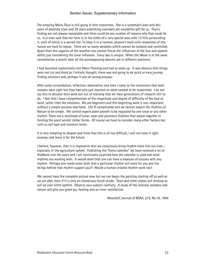#### Section Seven: Supplementary Information

The amazing Maria Thun is still going in here researches. She is a systematic doer and 40+ years of planting trials and 29 years publishing calendars are wonderful gift for us. Thun's finding are not always repeatable and there could be any number of reasons why that could be so. It is even said that her farm is in the midst of a very special area with 12 hills surrounding it, each of which is a sacred site. To keep it in a context, anyone's trails with researches of this nature are hard to repeat. There are so many variables which cannot be isolated and controlled. Apart from the vagaries of the weather one cannot freeze the influences of the Sun and planets whilst just considering the lunar influence. Every day is unique. When the Moon is in the same constellation a month later all the accompanying dancers are in different positions.

I had launched euphorically into Moon Planting and had to wake up. It was obvious that things were not cut and dried as I initially thought, there was not going to be quick or easy journey finding solutions and, perhaps it was all wrong anyway.

After some consolidation, reflection, observation and time I came to the conclusion that both streams were right but they had only just touched on what needed to be researched. I do not say this to devalue their work but out of realising that we have generations of research still to do. I feel that I have comprehension of the magnitude and degree of difficulty of the task at hand, rather then the solutions. We are beginners and this beginning work is very important, without a simple solution and hand. Life IS complicated and we cannot expect the rhythms of Nature to be simple. We cannot expect plant growth to be regulated by one lunar or any other rhythm. There are a multitude of lunar, solar and planetary rhythms that weave together in forming the plant amidst stellar forces. Of course we have to consider many other factors too such as soil type and moisture levels.

It is very tempting to despair and think that this is all too difficult, I will not have it right anyway, and leave it for the future.

I believe, however, that it is imperative that we consciously bring rhythm more into our lives – especially in the agriculture sphere. Publishing the "Astro calendar" we have received a lot of feedback over the years and I am continually surprised how the calendar is used and what rhythms are working with. It would seem that one can have a measure of success with any rhythm. Perhaps one needs some faith that a particular rhythm will work for you and the beings behind that rhythm support you?! Would a human created rhythm work too?

We cannot have the complete picture now but we can begin the painting starting off as well as we are able, even if it is only an elementary brush stroke. Start and other stokes will develop as will an ever richer palette. Observe your subject carefully. A study of the celestial wonders and nature will give you great joy, healing and an inner satisfaction.

Newsleaf, Journal of BDAA, p15, No.19, 1994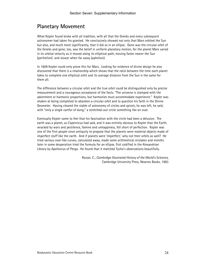# Planetary Movement

What Kepler found broke with all tradition, with all that the Greeks and every subsequent astronomer had taken fro granted. He conclusively showed not only that Mars orbited the Sun but also, and much more significantly, that it did so in an ellipse. Gone was the circular orbit of the Greeks and gone, too, was the belief in uniform planetary motion, for the planet Mars varied in its orbital velocity as it moved along its elliptical path, moving faster nearer the Sun (perihelion) and slower when far away (aphelion).

In 1609 Kepler could only prove this for Mars. Looking for evidence of divine design he also discovered that there is a relationship which shows that the ratio between the time each planet takes to complete one elliptical orbit and its average distance from the Sun is the same for them all.

The difference between a circular orbit and the true orbit could be distinguished only by precise measurement and a courageous acceptance of the facts: "The universe is stamped with the adornment or harmonic proportions, but harmonies must accommodate experience." Kepler was shaken at being completed to abandon a circular orbit and to question his faith in the Divine Geometer. Having cleared the stable of astronomy of circles and spirals, he was left, he said, with "only a single cartful of dung," a stretched-out circle something like an oval.

Eventually Kepler came to feel that his fascination with the circle had been a delusion. The earth was a planet, as Copernicus had said, and it was entirely obvious to Kepler that the Earth, wracked by wars and pestilence, famine and unhappiness, fell short of perfection. Kepler was one of the first people since antiquity to propose that the planets were material objects made of imperfect stuff like the earth. And if planets were 'imperfect,' why not their orbits as well? He tried various oval-like curves, calculated away, made some arithmetical mistakes and months later in some desperation tried the formula for an ellipse, first codified in the Alexandrian Library by Apollonius of Perga. He found that it matched Tycho's observations beautifully.

> Ronan, C., Cambridge Illustrated History of the World's Sciences, Cambridge University Press, Newnes Books, 1983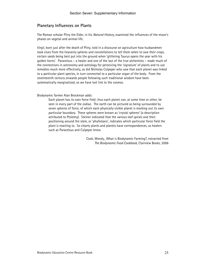### Planetary Influences on Plants

The Roman scholar Pliny the Elder, in his Natural History, examined the influences of the moon's phases on vegetal and animal life.

Virgil, born just after the death of Pliny, told in a discourse on agriculture how husbandmen took clues from the heavenly spheres and constellations to tell them when to sow their crops, certain seeds being best put into the ground when 'glittering Taurus opens the year with his golden horns'. Paracelsus – a healer and one of the last of the true alchemists – made much of the connections in astronomy and astrology for perceiving the 'signature' of plants and to use remedies much more effectively, as did Nicholas Culpeper who saw that each planet was linked to a particular plant species, in turn connected to a particular organ of the body. From the seventeenth century onwards people following such traditional wisdom have been systematically marginalized, so we have lost link to the cosmos.

Biodynamic farmer Alan Brockman adds:

Each planet has its own force field; thus each planet can, at some time or other, be seen in every part of the zodiac. The earth can be pictured as being surrounded by seven spheres of force, of which each physically visible planet is marking out its own particular boundary. These spheres were known as 'crystal spheres' (a description attributed to Ptolemy). Steiner indicated that the various leaf spirals and their positioning around the stem, or 'phyllotaxis', indicates which particular force field the plant is reacting to. So clearly plants and planets have correspondences, as healers such as Paracelsus and Culpeper knew.

> Cook, Wendy., What is Biodynamic Farming?, extracted from The Biodynamic Food Cookbook, Clairview Books, 2006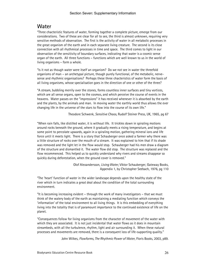# **Water**

"Three chacteristic features of water, forming together a complete picture, emerge from our considerations. Two of these are clear for all to see, the third is almost unknown, requiring very sensitive methods of observation. The first is the activity of water in all metabolic processes in the great organism of the earth and in each separate living creature. The second is its close connection with all rhythmical processes in time and space. The third comes to light in our observation of the sensitivity of boundary surfaces, indicating that water is a cosmic sense organ of the earth. All three functions – functions which are well known to us in the world of living organisms – form a whole.

"Is it not as though water were itself an organism? Do we not see in water the threefold organisms of man – an archetypal picture, though purely functional, of the metabolic, nervesense and rhythmic organisations? Perhaps these three chacteristics of water form the basis of all living organisms, whose specialisation goes in the direction of one or other of the three?

"A stream, bubbling merrily over the stones, forms countless inner surfaces and tiny vortices, which are all sense organs, open to the cosmos, and which perceive the course of events in the heavens. Water passes on the "impressions" it has received whenever it is absorbed by the earth and the plants, by the animals and man. In moving water the earthly world thus allows the ever changing life in the universe of the stars to flow into the course of its own life."

Theodore Schwenk, Sensitive Chaos, Rudolf Steiner Press, UK, 1965, pg 67

"When rain falls, like distilled water, it is without life. It trickles down in spiraling motions around rocks beneath the ground, where it gradually meets a rising temperature, and begins at some point to percolate upwards, again in a spiraling motion, gathering mineral ions and life force until it meets light. There is a story that Schauberger once asked a farmer why there was a little structure of rocks over the mouth of a stream. It was explained to him that if its shade was removed and the light let in the flow would stop. Schauberger had his men draw a diagram of the structure and dismantled it. The water flow did stop. The structure was replaced and the flow recommenced. This helped us to quickly understand why rivers and streams disappear so quickly during deforestation, when the ground cover is removed."

> Olof Alexandersson, Living Water, Viktor Schauberger, Gateway Books, Appendix 1, by Christopher Seebach, 1976, pg 110

"The 'heart' function of water in the wider landscape depends upon the healthy state of the river which in turn indicates a great deal about the condition of the total surrounding environment.

"It is becoming increasing evident – through the work of many investigators – that we must think of the watery body of the earth as maintaining a mediating function which conveys the 'information' of the total environment to all living things. It is this embedding of everything living into the totality that is of paramount importance to the continued existence of life on the planet.

"Consequences follow for living organisms from the character of movement of the water with which they are associated. It is not just incidental that water flows as it does in mountain streambeds, with all the turbulence, rhythm, light and air surrounding it. When these natural processes and movements are removed, there is a consequent loss of life-supporting quality."

John Wilkes, Flowforms, The Rhythmic Power of Water, Floris Books, 2003, p89.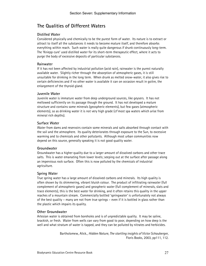# The Qualities of Different Waters

#### Distilled Water

Considered physically and chemically to be the purest form of water. Its nature is to extract or attract to itself all the substances it needs to become mature itself, and therefore absorbs everything within reach. Such water is really quite dangerous if drunk continuously long-term. The 'Kniepp cure' used distilled water for its short-term therapeutic effect, where it acts to purge the body of excessive deposits of particular substances.

#### Rainwater

If it has not been affected by industrial pollution (acid rain), rainwater is the purest naturally available water. Slightly richer through the absorption of atmospheric gases, it is still unsuitable for drinking in the long term. When drunk as melted snow-water, it also gives rise to certain deficiencies and if no other water is available it can on occasion result in goitre, the enlargement of the thyroid gland.

#### Juvenile Water

Juvenile water is immature water from deep underground sources, like geysers. It has not mellowed sufficiently on its passage though the ground. It has not developed a mature structure and contains some minerals (geospheric elements), but few gases (atmospheric elements), so as drinking water it is not very high grade (cf most spa waters which arise from mineral rich depths).

#### Surface Water

Water from dams and reservoirs contain some minerals and salts absorbed through contact with the soil and the atmosphere. Its quality deteriorates through exposure to the Sun, to excessive warming and to chemicals and other pollutants. Although most urban communities now depend on this source, generally speaking it is not good quality water.

#### Groundwater

Groundwater has a higher quality due to a larger amount of dissolved carbons and other trace salts. This is water emanating from lower levels; seeping out at the surface after passage along an impervious rock surface. Often this is now polluted by the chemicals of industrial agriculture.

### Spring Water

True spring water has a large amount of dissolved carbons and minerals. Its high quality is often shown by its shimmering, vibrant bluish colour. The product of infiltrating rainwater (full complement of atmospheric gases) and geospheric water (full complement of minerals, slats and trace elements), this is the best water for drinking, and it often retains this quality in the upper reaches of a mountain stream. Commercially bottled 'springwater' is unfortunately not always of the best quality – many are not from true springs – even if it is bottled in glass rather than the plastic which impairs its quality.

#### Other Groundwater

Artesian water is obtained from boreholes and is of unpredictable quality. It may be saline, brackish, or fresh. Water from wells can vary from good to poor, depending on how deep is the well and what stratum of water is tapped, and they can be polluted by nitrates and herbicides.

> Bartholomew, Alick., Hidden Nature, The startling insights of Victor Schauberger, Floris Books, 2003, pp111, 112.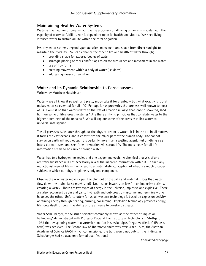### Maintaining Healthy Water Systems

Water is the medium through which the life processes of all living organisms is sustained. The capacity of water to fulfill its role is dependant upon its health and vitality. We need living, vitalised water to sustain all life within the farm or garden.

Healthy water systems depend upon aeration, movement and shade from direct sunlight to maintain their vitality. You can enhance the etheric life and health of water through;

- providing shade for exposed bodies of water
- strategic placing of rocks and/or logs to create turbulence and movement in the water
- use of flowforms
- creating movement within a body of water (i.e. dams)
- addressing causes of pollution.

### Water and its Dynamic Relationship to Consciousness

Written by Matthew Hutchinson

Water – we all know it so well, and pretty much take it for granted – but what exactly is it that makes water so essential for all life? Perhaps it has properties that are less well known to most of us. Could it be that water relates to the rest of creation in ways that, once discovered, shed light on some of life's great mysteries? Are there unifying principles that correlate water to the higher orderliness of the universe? We will explore some of the areas that link water to universal intelligence.

The all pervasive substance throughout the physical realm is water. It is in the air, in all matter, it forms the vast oceans, and it constitutes the major part of the human body. Life cannot survive on Earth without water. It is certainly more than a wetting agent. Put anything else into a dormant seed and see if the interaction will sprout life. The meta-code for all life information seems to be carried through water.

Water has two hydrogen molecules and one oxygen molecule. A chemical analysis of any arbitrary substance will not necessarily reveal the inherent information within it. In fact, any reductionist view of life will only lead to a materialistic conception of what is a much broader subject, in which our physical plane is only one component.

Observe the way water moves – pull the plug out of the bath and watch it. Does that water flow down the drain like so much sand? No, it spins inwards on itself in an implosive activity, creating a vortex. There are two types of energy in the universe, implosive and explosive. These are also recognised as yin and yang, in-breath and out-breath, masculine and feminine – one balances the other. Unfortunately for us, all western technology is based on explosion activity, obtaining energy through heating, burning, consuming. Implosion technology provides energy; life force itself, through the ability of the universe to constantly create.

Viktor Schauberger, the Austrian scientist commonly known as "the father of implosion technology" demonstrated with Professor Popel at the Institute of Technology in Stuttgart in 1952 that by spinning water in a vortexian motion in special pipes "negative friction" (Popel's term) was achieved. The Second law of Thermodynamics was overturned. Alas, the Austrian Academy of Science (AAS), which commissioned the trail, would not publish the findings as Schauberger had no academic formal qualifications!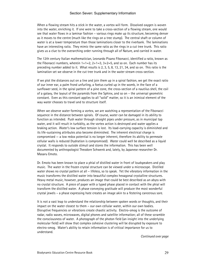When a flowing stream hits a stick in the water, a vortex will form. Dissolved oxygen is woven into the water, enriching it. If one were to take a cross-section of a flowing stream, one would see that water flows in a laminar fashion – various rings make up its structure, becoming denser as it moves to the centre (much like the rings on a tree stump). The central shaft or column of water is at a lower temperature than those laminations closer to the riverbank. The laminations have an interesting ratio. They mimic the same ratio as the rings in a cut tree trunk. This ratio gives us a clue to the overarching order running through all of Nature, and carried in water.

The 12th century Italian mathematician, Leonardo Pisano Fibonacci, identified a ratio, known as the Fibonacci numbers, wherein  $1+1=2$ ,  $2+1=3$ ,  $3+2=5$ , and so on. Each number has its preceding number added to it. What results is 2, 3, 5, 8, 13, 21, 34, and so on. This ratio is the lamination set we observe in the cut tree trunk and in the water stream cross-section.

If we plot the distances out on a line and join them up in a spiral fashion, we get the exact ratio of our inner ear, a palm frond unfurling, a foetus curled up in the womb, in the face of a sunflower seed, in the spiral pattern of a pine cone, the cross-section of a nautilus shell, the coil of a galaxy, the layout of the pyramids from the Sphinx, and so on – the universal geometric constant. Even as this constant applies to all "solid" matter, so it is an inimical element of the way water chooses to travel and to structure itself.

When we observe water forming a vortex, we are watching a representation of the Fibonacci sequence in the distance between spirals. Of course, water can be damaged in its ability to function as intended. Push water through straight pipes under pressure, as in municipal tap water, and it will result in turbidity, as the vortex action is destroyed and water applies a braking action. Water's low surface tension is lost. Its load-carrying capacity is diminished and its life-sustaining attributes also become diminished. The inherent electrical charge is compromised — a low redox potential is no longer inherent, therefore its ability to permeate cellular walls is reduced (hydration is compromised). Water could well be described as a liquid crystal. It responds to outside stimuli and stores the information. This has been well documented by anthropologist Theodore Schwenk and, lately, by Japanese researcher Dr. Masaru Emoto.

Dr. Emoto has been known to place a phial of distilled water in front of loudspeakers and play music. The water in the frozen crystal structure can be viewed under a microscope. Distilled water shows no crystal pattern at all – lifeless, so to speak. Yet the vibratory information in the music transforms the distilled water into beautiful complex hexagonal crystalline structures. Heavy metal music, however, produces an image that could be best described as an abyss with no crystal structure. A piece of paper with a typed phase placed in contact with the phial will transform the distilled water. A phase conveying gratitude will produce the most wonderful crystal jewels – a phase expressing hate creates an image akin to a festering cancerous sore.

It is not a vast leap to understand the relationship between spoken words or thoughts, and their impact on the water closest to them – our own cellular water, within our own bodies. Disruptive frequencies or vibrations create chaotic activity. Electro-smog is the outcome of radar, radio waves, microwaves, digital phones and satellite information; all of these scramble the consciousness of water. A photograph of the photon field (an insight into the underlying molecular field) will show that complex cohesive clustering will be disrupted by exposure to electro-smog. Water's ability to retain information is of critical importance for us to understand.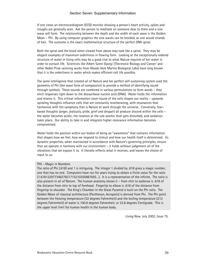#### Section Seven: Supplementary Information

If one views an electrocardiogram (ECG) monitor showing a person's heart activity, spikes and troughs are generally seen. Ask the person to meditate on someone dear to them and a sine wave will form. The relationship between the depth and the width of each wave is the Golden Mean – Phi. By using computer graphics the sine waves can be braided, as one would strands of hair. The outcome is the exact mathematical structure of the perfect DNA spiral.

Both the spiral and the braid when viewed from above may look like a spiral. They may be elegant examples of maximum orderliness in flowing form. Looking at the exceptionally ordered structure of water in living cells may be a good clue to what Nature requires of her water in order to contain life. Scientists like Albert Szent Gyorgi ('Electronic Biology and Cancer' and other Nobel Prize-winning works from Woods Hole Marine Biological Labs) have long known that it is the orderliness in water which makes efficient cell life possible.

The same intelligence that created all of Nature and her perfect self-sustaining system used the geometry of Phi (the wave form of compassion) to provide a method of identifying sound through symbols. These sounds are combined in various permutations to form words – they elicit responses right down to the deoxyribose nucleic acid (DNA). Water holds the information and retains it. This critical information store-house of the cells shapes our reality – upwards spiraling thoughts influence cells that are constantly reverberating, with resonances that harmonise with the symphony that is Nature at work through the universe. Conversely, fearbased thoughts (anger, jealously, pride, grief and despair) all produce discord within the cells – the water becomes acidic, the rotation at the sub-atomic level gets disturbed, and oxidation takes place. Our ability to take in and integrate higher resonance information becomes compromised.

Water holds the position within our bodies of being an "awareness" that contains information that shapes how we feel, how we respond to stimuli and how our health itself is determined. Its dynamic properties, when maintained in accordance with Nature's governing principles, ensure that we operate in harmony with our environment – it holds without judgement all of the vibrations that we expose it to. It literally reflects what it receives; and leaves the choice of input to us.

#### PHI – Magic in Numbers

The ratio of Phi (.618) and 1 is intriguing. The integer 1 divided by .618 gives a magic number, one that has no end. Computers have run for years trying to obtain a finite value for the ratio (1.61812297734627831715210355987055…). It is a representation of the infinite. The ratio is also present in all of Nature. The human anatomy shows it – from chin to eyebrow is .618 of the distance from chin to top of forehead. Fingertip to elbow is .618 of the distance from fingertip to shoulder. The King's Chamber in the Great Pyramid is built on the Phi ratio. The Golden Mean of classical architecture (Parthenon, Acropolis) is derived from Phi. The Phi point between the freezing temperature (32 degrees Fahrenheit) and the boiling temperature (212 degrees Fahrenheit) of water is 100.8 degrees Fahrenheit, or 32.8 degrees Centigrade. This is the upper level limit for human health in the human body.

Living Now, July 2002, Issue 75.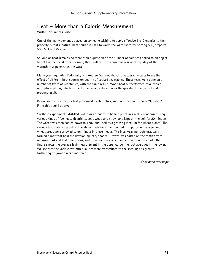# Heat – More than a Caloric Measurement

Written by Frances Porter

One of the many demands placed on someone wishing to apply effective Bio-Dynamics to their property is that a natural heat source is used to warm the water used for stirring 500, prepared 500, 501 and Valerian.

So long as heat remains no more than a question of the number of calories applied to an object to get the technical effect desired, there will be little consciousness of the quality of the warmth that penetrates the water.

Many years ago, Alex Podolinsky and Andrew Sargood did chromatography tests to see the effect of different heat sources on quality of cooked vegetables. These tests were done on a number of types of vegetables, with the same result. Wood heat outperformed coke, which outperformed gas, which outperformed electricity as far as the quality of the cooked end product result.

Below are the results of a test preformed by Hauschka, and published in his book 'Nutrition'. From this book I quote:

"In these experiments, distilled water was brought to boiling point in a reflux condenser using various kinds of fuel; gas, electricity, coal, wood and straw, and kept on the boil for 20 minutes. The water was then cooled down to 170C and used as a growing medium for wheat plants. The various test waters heated on the above fuels were then poured into porcelain saucers and wheat seeds were allowed to germinate in these media. The interweaving roots gradually formed a mat that held the developing leafy shoots. Growth was halted on the tenth day to measure root and leaf dimensions, and these were averaged and entered on the chart. The figure shows the average leaf-measurement in the upper curve, the root averages in the lower. We see that the various warmth qualities were transmitted to the seedlings as growthfurthering or growth retarding forces.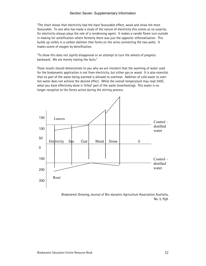#### Section Seven: Supplementary Information

"The chart shows that electricity had the least favourable effect, wood and straw the most favourable. To one who has made a study of the nature of electricity this comes as no surprise, for electricity always plays the role of a condensing agent. It makes a candle flame turn outside in making for solidification where formerly there was just the opposite: etherealisation. This builds up visibly in a carbon skeleton that forms on the wires connecting the two poles. It makes ozone of oxygen by densification.

"To show this does not signify disapproval or an attempt to turn the wheels of progress backward. We are merely stating the facts."

These results should demonstrate to you why we are insistent that the warming of water used for the biodynamic application is not from electricity, but either gas or wood. It is also essential that no part of the water being warmed is allowed to overheat. Addition of cold water to overhot water does not achieve the desired effect. While the overall temperature may read 350C, what you have effectively done is 'killed' part of the water (overheating). This water is no longer receptive to the forces active during the stirring process.



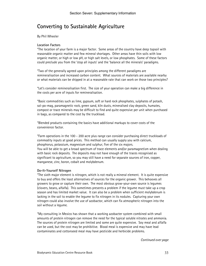# Converting to Sustainable Agriculture

By Phil Wheeler

#### Location Factors

"The location of your farm is a major factor. Some areas of the country have deep topsoil with reasonable organic matter and few mineral shortages. Other areas have thin soils with low organic matter, or high or low pH, or high salt levels, or low phosphates. Some of these factors could preclude you from the 'stop all inputs' and the 'balance all the minerals' paradigms.

"Two of the generally agreed upon principles among the different paradigms are remineralisation and increased carbon content. What sources of materials are available nearby or what materials can be shipped in at a reasonable rate that can work on those two principles?

"Let's consider remineralisation first. The size of your operation can make a big difference in the costs per acre of inputs for remineralisation.

"Basic commodities such as lime, gypsum, soft or hard rock phosphates, sulphates of potash, sol-po-mag, paramagnetic rock, green sand, kiln dusts, mineralised clay deposits, humates, compost or trace minerals may be difficult to find and quite expensive per unit when purchased in bags, as compared to the cost by the truckload.

"Blended products containing the basics have additional markups to cover costs of the convenience factor.

"Farm operations in the 100 - 200 acre plus range can consider purchasing direct truckloads of commodity inputs at good prices. This method can usually supply you with calcium, phosphorus, potassium, magnesium and sulphur, five of the six majors. You will be able to get a broad spectrum of trace elements and/or paramagnetism when dealing with basic rock deposits. The deposits may not have enough of the traces recognised as significant to agriculture, so you may still have a need for separate sources of iron, copper, manganese, zinc, boron, cobalt and molybdenum.

#### Do-It-Yourself Nitrogen

"The sixth major element is nitrogen, which is not really a mineral element. It is quite expensive to buy and offers the least alternatives of sources for the organic grower. This behooves all growers to grow or capture their own. The most obvious grow-your-own source is legumes (clovers, beans, alfalfa). This sometimes presents a problem if the legume must take up a crop season and has limited market value. It can also be a problem when sufficient molybdenum is lacking in the soil to enable the legume to fix nitrogen in its nodules. Capturing your own nitrogen could also involve the use of azobactor, which can fix atmospheric nitrogen into the soil without a legume.

"My consulting in Mexico has shown that a working azobacter system combined with small amounts of protein nitrogen can remove the need for the typical soluble nitrates and ammonia. The sources of protein nitrogen are limited and some are quite expensive. Soy meal and alfalfa can be used, but the cost may be prohibitive. Blood meal is expensive and may have lead contaminates and cottonseed meal may have pesticide and herbicide problems.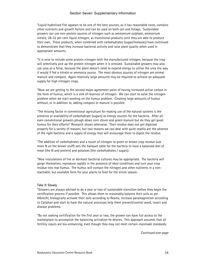#### Section Seven: Supplementary Information

"Liquid hydrolised fish appears to be one of the best sources, as it has reasonable costs, contains other nutrients and growth factors and can be used on both soil and foliage. Sustainable growers can use non-protein sources of nitrogen such as ammonium sulphate, ammonium nitrate, 28-32 per cent liquid nitrogen, as transitional products until they are able to produce their own. These products, when combined with carbohydrates (sugar/molasses) have continued to demonstrate that they increase bacterial activity and raise plant quality when used in appropriate amounts.

"It is wise to include some protein nitrogen with the manufactured nitrogen, because the crop will selectively pick up the protein nitrogen when it is stressed. Sustainable growers may also use urea as a foliar, because the plant doesn't need to expend energy to utilise the urea the way it would if fed a nitrate or ammonia source. The most obvious sources of nitrogen are animal manure and compost. Again relatively large amounts may be required to achieve an adequate supply for high nitrogen crops.

"Now we are getting to the second major agreement point of having increased active carbon in the form of humus, which is a sink of reservoir of nitrogen. We can start to solve the nitrogen problem when we start working on the humus problem. Creating large amounts of humus without, or in addition to, adding compost or manure is possible.

"The missing factor in conventional agriculture for making use of the natural systems is the presence or availability of carbohydrate (sugars) as energy sources for the bacteria. After all, even conventional growers plough down corn stover and green manure but do they get good humus for their efforts? Research shows otherwise. Their residue does not get digested properly for a variety of reasons, but two reasons we can deal with quite readily are the absence of the right bacteria and a supply of energy that will encourage them to digest the residue.

"The addition of carbohydrates and a touch of nitrogen to green or brown crop residue (use more N on the brown stuff) sets the banquet table for the bacteria to have a balanced diet of meat (the N and protein) and potatoes (the carbohydrates / sugars).

"New inoculations of live or dormant bacterial cultures may be appropriate. The bacteria will gorge themselves, reproduce rapidly in the presence of ideal conditions and turn your crop residue into real humus. The humus will contain the nitrogen and other nutrients in a nonleachable, but available form for your plants to feed for the entire season.

#### Take It Slowly

"Growers are always advised to do a year or two of sustainable transition before they begin the certification process if possible. This allows them to reasonably balance their soils as per Albrecht, biologically activate their soils according to Reams, increase paramagnetism according to Callahan and start to have the natural processes help them prevent/control weed, insect and disease problems.

"By not seeking certification for the first year or two, the grower can have full access to the marketplace to accomplish the balancing activation he desires. This approach assumes that all fertility inputs are bio-enhancing, even though they may not meet certain manmade standards.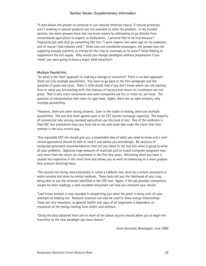"It also allows the grower to continue to use reduced chemical rescue, if natural processes aren't working or natural products are not available to solve the problem. In my humble opinion, too many growers have lost too much money by attempting to go directly from conventional agriculture to organic or biodynamic. I perceive this to be true because I frequently get calls that go something like this: "I went organic two years ago on my soybeans, and of course I had reduced yield." Since soys are considered scavengers, the grower was not supplying enough nutrients or energy for the crop to scavenge, or he wasn't foliar feeding to supplement the soil supply. Why would you change paradigms without preparation if you 'knew' you were going to have a major yield reduction?

#### Multiple Possibilities

"So what is the 'best' approach to making a change or transition? There is no best approach. There are only multiple possibilities. You have to go back to the first paragraph and the question of goals and costs. There is little doubt that if you don't know where you are starting from or what you are starting with, the chances of success and return on investment are not great. That is why most consultants and sales companies ask for, or insist on, soil tests. The question of interpretation then rears its ugly head. Again, there are no right answers, only multiple possibilities.

"However, there are some wrong answers. Even in the realm of testing, there are multiple possibilities. The one test most agreed upon is for CEC (cation exchange capacity). The majority of commercial labs serving standard agriculture use this kind of test. One of the problems is that CEC test procedures may vary from lab to lab, and some labs make the claim that their method is the only correct way.

"Any reputable CEC lab should give you a reasonable idea of what you need to know and a wellversed agronomist should be able to read it and advise you accordingly. Be cautious of computed generated recommendations that tell you down to the last kilo what is going to solve all your problems. Applying huge amounts of materials just to match computer programs may cost more than the return on investment in the first few years. Activating what you have is usually less expensive in the short term and allows you to work on balancing on a more gradual (less account draining) basis.

"The second test being used extensively is called a LaMotte test, done by a certain procedure or water-soluble test done by similar methods. These tests tell you the likelihood of your crop being able to use the minerals identified in the CEC test. Again, if the lab provides interpretive ranges for their readings, a well-rounded consultant can help you interpret your results.

"Leaf tissue analysis is also valuable in pinpointing just what the plant is doing with all your attempts at helping out. Radionic scanners can also be used to show energy relationships. These are very important, as general health and vigor of all organisms is dependent on resonance of the energy coming from within and without.

"Using the data obtained from one or more of the above sources should allow you to begin the transition to the new paradigm you have chosen."

Acres Australia, Newspaper, June 2000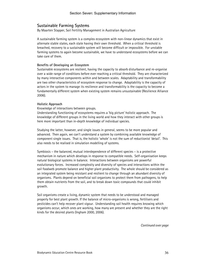### Sustainable Farming Systems

By Maarten Stapper, Soil Fertility Management in Australian Agriculture

A sustainable farming system is a complex ecosystem with non-linear dynamics that exist in alternate stable states, each state having their own threshold. When a critical threshold is breached, recovery to a sustainable system will become difficult or impossible. For unstable farming systems to again become sustainable, we have to understand ecosystems before we can take care of them.

#### Benefits of Developing an Ecosystem

Sustainable ecosystems are resilient, having the capacity to absorb disturbance and re-organise over a wide range of conditions before ever reaching a critical threshold. They are characterized by many interactive components within and between scales. Adaptability and transformability are two other characteristics of ecosystem response to change. Adaptability is the capacity of actors in the system to manage its resilience and transformability is the capacity to become a fundamentally different system when existing system remains unsustainable (Resilience Alliance 2006).

#### Holistic Approach

Knowledge of interactions between groups.

Understanding functioning of ecosystems requires a 'big picture' holistic approach. The knowledge of different groups in the living world and how they interact with other groups is here more important than in-depth knowledge of individual species.

Studying the latter, however, and single issues in general, seems to be more popular and advanced. Then again, we can't understand a system by combining available knowledge of component single issues. That is, the holistic 'whole' is not the sum of reductionist 'detail'. This also needs to be realised in simulation modelling of systems.

Symbiosis – the balanced, mutual interdependence of different species – is a protective mechanism in nature which develops in response to compatible needs. Self-organisation keeps natural biological systems in balance. Interactions between organisms are powerful evolutionary forces. Increased complexity and diversity of species and interactions within the soil foodweb promote balance and higher plant productivity. The whole should be considered as an integrated system being resistant and resilient to change through an abundant diversity of organisms. Plants depend on beneficial soil organisms to protect them from pathogens, to help them obtain nutrients from the soil, and to break down toxic compounds that could inhibit growth.

Soil organisms create a living, dynamic system that needs to be understood and managed properly for best plant growth. If the balance of micro-organisms is wrong, fertilisers and pesticides can't help recover plant vigour. Understanding soil health requires knowing which organisms occur, which ones are working, how many are present and whether they are the right kinds for the desired plants (Ingham 2000, 2006).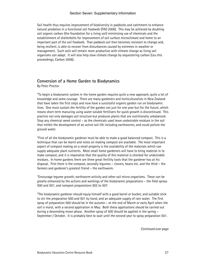Soil health thus requires improvement of biodiversity in paddocks and catchment to enhance natural predation in a functional soil foodweb (FAO 2006). This may be achieved by doubling soil organic carbon (the foundation for a living soil) minimising use of chemicals and the establishment of shelterbelts for improvement of soil surface microclimate and home to an important part of the soil foodweb. That paddock soil then becomes resistant to change and, being resilient, is able to recover from disturbances caused by extremes in weather or management. Such soils will remain more productive with climate change as living soil organisms can adapt. It will also help slow climate change by sequestering carbon (Leu this proceedings, Carbon 2006).

### Conversion of a Home Garden to Biodynamics

By Peter Proctor

"To begin a biodynamic system in the home garden requires quite a new approach, quite a lot of knowledge and some courage. There are many gardeners and horticulturalists in New Zealand that have taken the first steps and now have a successful organic garden run on biodynamic lines. One must sustain the fertility of the garden not just for one year but for the future, which means short term manuring using water soluble fertilisers for quick growth is discontinued. This practice not only damages soil structure but produces plants that are nutritionally unbalanced. Stop any chemical weed control – as the chemicals used leave undesirable residues in the soil that inhibit the development of an active soil life including earthworms, and could pollute the ground water.

"First of all the biodynamic gardener must be able to make a good balanced compost. This is a technique that can be learnt and notes on making compost are available. The most important aspect of compost making on a small property is the availability of the materials which can supply adequate plant nutrients. Most small home gardeners will have to bring material in to make compost, and it is imperative that the quality of this material is checked for undesirable residues. In home gardens there are three great fertility tools that the gardener has at his disposal. First there is the compost, secondly legumes – clovers, beans etc. and the third – the farmers and gardener's greatest friend – the earthworm.

"Encourage legume growth, earthworm activity and other soil micro-organisms. These can be greatly enhanced by the actions and workings of the biodynamic preparations – the field sprays 500 and 501, and compost preparations 502 to 507.

"The biodynamic gardener should equip himself with a good barrel or bucket, and suitable stick to stir the preparation 500 and 501 by hand, and an adequate supply of rain water. The first spray of preparation 500 should be in the autumn – at the end of March or early April when the soil is moist, with a second application in May. Both these applications should be carried out during a descending moon phase. Another spray of 500 should be applied in the spring – September / October. It is probably best to wait until the second year to spray preparation 501.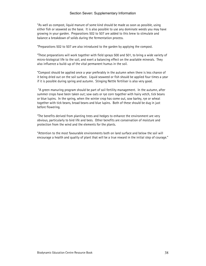"As well as compost, liquid manure of some kind should be made as soon as possible, using either fish or seaweed as the base. It is also possible to use any dominate weeds you may have growing in your garden. Preparations 502 to 507 are added to this brew to stimulate and balance a breakdown of solids during the fermentation process.

"Preparations 502 to 507 are also introduced to the garden by applying the compost.

"These preparations will work together with field sprays 500 and 501, to bring a wide variety of micro-biological life to the soil, and exert a balancing effect on the available minerals. They also influence a build-up of the vital permanent humus in the soil.

"Compost should be applied once a year preferably in the autumn when there is less chance of it being dried out on the soil surface. Liquid seaweed or fish should be applied four times a year if it is possible during spring and autumn. Stinging Nettle fertiliser is also very good.

 "A green manuring program should be part of soil fertility management. In the autumn, after summer crops have been taken out; sow oats or rye corn together with hairy vetch, tick beans or blue lupins. In the spring, when the winter crop has come out, sow barley, rye or wheat together with tick beans, broad beans and blue lupins. Both of these should be dug in just before flowering.

"The benefits derived from planting trees and hedges to enhance the environment are very obvious, particularly to bird life and bees. Other benefits are conservation of moisture and protection from the wind and the elements for the plants.

"Attention to the most favourable environments both on land surface and below the soil will encourage a health and quality of plant that will be a true reward in the initial step of courage."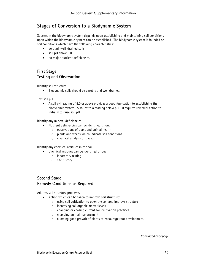# Stages of Conversion to a Biodynamic System

Success in the biodynamic system depends upon establishing and maintaining soil conditions upon which the biodynamic system can be established. The biodynamic system is founded on soil conditions which have the following characteristics:

- aerated, well-drained soils
- soil pH above 5.0
- no major nutrient deficiencies.

# First Stage Testing and Observation

Identify soil structure.

• Biodynamic soils should be aerobic and well drained.

Test soil pH.

• A soil pH reading of 5.0 or above provides a good foundation to establishing the biodynamic system. A soil with a reading below pH 5.0 requires remedial action to initially to raise soil pH.

Identify any mineral deficiencies.

- Nutrient deficiencies can be identified through:
	- o observations of plant and animal health
	- o plants and weeds which indicate soil conditions
	- o chemical analysis of the soil.

Identify any chemical residues in the soil.

- Chemical residues can be identified through:
	- o laboratory testing
	- o site history.

# Second Stage Remedy Conditions as Required

Address soil structure problems.

- Action which can be taken to improve soil structure:
	- o using soil cultivation to open the soil and improve structure
	- o increasing soil organic matter levels
	- o changing or ceasing current soil cultivation practices
	- o changing animal management
	- o allowing good growth of plants to encourage root development.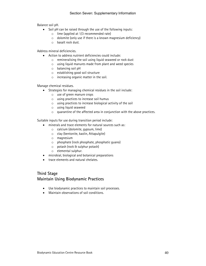Balance soil pH.

- Soil pH can be raised through the use of the following inputs:
	- o lime (applied at 1/3 recommended rate)
	- o dolomite (only use if there is a known magnesium deficiency)
	- o basalt rock dust.

Address mineral deficiencies.

- Action to address nutrient deficiencies could include:
	- o remineralising the soil using liquid seaweed or rock dust
	- o using liquid manures made from plant and weed species
	- o balancing soil pH
	- o establishing good soil structure
	- o increasing organic matter in the soil.

Manage chemical residues.

- Strategies for managing chemical residues in the soil include:
	- o use of green manure crops
	- o using practices to increase soil humus
	- o using practices to increase biological activity of the soil
	- o using liquid seaweed
	- o quarantine of the affected area in conjunction with the above practices.

Suitable inputs for use during transition period include:

- minerals and trace elements for natural sources such as:
	- o calcium (dolomite, gypsum, lime)
	- o clay (bentonite, kaolin, Attapulgite)
	- o magnesium
	- o phosphate (rock phosphate, phosphatic guano)
	- o potash (rock & sulphur potash)
	- o elemental sulphur.
- microbial, biological and botanical preparations
- trace elements and natural chelates.

# Third Stage Maintain Using Biodynamic Practices

- Use biodynamic practices to maintain soil processes.
- Maintain observations of soil conditions.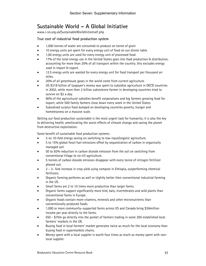# Sustainable World – A Global Initiative

www.i-sis.org.uk/SustainableWorldInitiativeF.php

True cost of industrial food production system

- 1,000 tonnes of water are consumed to produce on tonne of grain
- 10 energy units are spent for every energy unit of food on our dinner table
- 1,00 energy units are used for every energy unit of processed food
- 17% of the total energy use in the United States goes into food production & distribution, accounting for more than 20% of all transport within the country; this excludes energy used in import & export.
- 12.5 energy units are wasted for every energy unit for food transport per thousand air miles.
- 20% of all greenhouse gases in the world come from current agriculture.
- US \$318 billion of taxpayer's money was spent to subsidize agriculture in OECD countries in 2002, while more then 2 billion subsistence farmer in developing countries tried to survive on \$2 a day.
- 90% of the agricultural subsidies benefit corporations and big farmers growing food for export; while 500 family farmers close down every week in the United States.
- Subsidized surplus food dumped on developing countries poverty, hunger and homelessness on a massive scale.

Getting our food production sustainable is the most urgent task for humanity; it is also the key to delivering health, ameliorating the worst effects of climate change and saving the planet from destructive exploitation.

Some benefit of sustainable food production systems:

- 2-to 10-fold energy saving on switching to low-input/organic agriculture.
- 5 to 15% global fossil fuel emissions offset by sequestration of carbon in organically managed soil.
- 50 to 92% reduction in carbon dioxide emission from the soil on switching from conventional tillage to no-till agriculture.
- 5 tonnes of carbon dioxide emission disappear with every tonne of nitrogen fertilizer phased out.
- 2 3- fold increase in crop yield using compost in Ethiopia, outperforming chemical fertilizers.
- Organic farming performs as well or slightly better then conventional industrial farming in the US.
- Small farms are 2 to 10 times more productive than larger farms.
- Organic farms support significantly more bird, bats, invertebrates and wild plants than conventional farms in Europe.
- Organic foods contain more vitamins, minerals and other micronutrients than conventionally produced foods.
- 1,000 or more community–supported farms across US and Canada bring \$36million income per year directly to the farms.
- £50 \$70m go directly into the pocket of farmers trading in some 200 established local farmers' markets in the UK.
- Buying food in local farmers' market generates twice as much for the local economy than buying food in supermarkets chains.
- Money spent with a local supplier is worth four times as much as money spent with nonlocal supplier.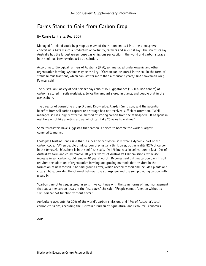# Farms Stand to Gain from Carbon Crop

#### By Carrie La Frenz, Dec 2007

Managed farmland could help mop up much of the carbon emitted into the atmosphere, converting a hazard into a productive opportunity, farmers and scientist say. The scientists say Australia has the largest greenhouse gas emissions per capita in the world and carbon storage in the soil has been overlooked as a solution.

According to Biological Farmers of Australia (BFA), soil managed under organic and other regenerative farming systems may be the key. "Carbon can be stored in the soil in the form of stable humus fractions, which can last for more than a thousand years," BFA spokesman Greg Paynter said.

The Australian Society of Soil Science says about 1500 gigatonnes (1500 billion tonnes) of carbon is stored in soils worldwide; twice the amount stored in plants, and double that in the atmosphere.

The director of consulting group Organic Knowledge, Alasdair Smithson, said the potential benefits from soil carbon capture and storage had not received sufficient attention. "Wellmanaged soil is a highly effective method of storing carbon from the atmosphere. It happens in real time – not like planting a tree, which can take 25 years to mature."

Some forecasters have suggested that carbon is poised to become the world's largest commodity market.

Ecologist Christine Jones said that in a healthy ecosystem soils were a dynamic part of the carbon cycle. "When people think carbon they usually think trees, but in reality 82% of carbon in the terrestrial biosphere is in the soil," she said. "A 1% increase in soil carbon in just 10% of Australia's farmland could remove 10 years' worth of Australia's CO2 emissions, while 4% increase in soil carbon could remove 40 years' worth. Dr Jones said putting carbon back in soil required the adoption of regenerative farming and grazing methods that resulted in the formation of new topsoil. She said ground cover, which needed topsoil and included plants and crop stubble, provided the channel between the atmosphere and the soil, providing carbon with a way in.

"Carbon cannot be sequestered in soils if we continue with the same forms of land management that cause the carbon losses in the first place," she said. "People cannot function without a skin, soil cannot function without cover."

Agriculture accounts for 30% of the world's carbon emissions and 17% of Australia's total carbon emissions, according the Australian Bureau of Agricultural and Resource Economics.

AAP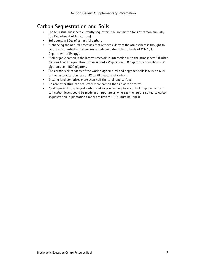# Carbon Sequestration and Soils

- The terrestrial biosphere currently sequesters 2 billion metric tons of carbon annually. (US Department of Agriculture).
- Soils contain 82% of terrestrial carbon.
- $\blacksquare$  "Enhancing the natural processes that remove CO<sup>2</sup> from the atmosphere is thought to be the most cost-effective means of reducing atmospheric levels of CO2." (US Department of Energy).
- "Soil organic carbon is the largest reservoir in interaction with the atmosphere." (United Nations Food & Agriculture Organisation) - Vegetation 650 gigatons, atmosphere 750 gigatons, soil 1500 gigatons.
- The carbon sink capacity of the world's agricultural and degraded soils is 50% to 66% of the historic carbon loss of 42 to 78 gigatons of carbon.
- Grazing land comprises more than half the total land surface.
- An acre of pasture can sequester more carbon than an acre of forest.
- "Soil represents the largest carbon sink over which we have control. Improvements in soil carbon levels could be made in all rural areas, whereas the regions suited to carbon sequestration in plantation timber are limited." (Dr Christine Jones)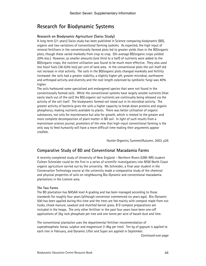# Research for Biodynamic Systems

#### Research on Biodynamic Agriculture (Swiss Study)

A long term (21 years) Swiss study has been published in Science comparing biodynamic (BD), organic and two variations of conventional farming systems. As expected, the high input of mineral fertilisers in the conventionally farmed plots led to greater yields than in the BD/organic plots, though these varied markedly from crop to crop. (On average BD/organic crops yielded 20% less.) However, as smaller amounts (one third to a half) of nutrients were added to the BD/organic crops, the nutrient utilisation was found to be much more effective. They also used less fossil fuels (36-63% less) per unit of land area. In the conventional plots the soil itself did not increase in vital activity. The soils in the BD/organic plots changed markedly and fertility increased: the soils had a greater stability, a slightly higher pH, greater microbial, earthworm and arthropod activity and diversity and the root length colonised by symbiotic fungi was 40% higher.

The soils harboured some specialised and endangered species that were not found in the conventionally farmed soils. While the conventional systems have largely soluble nutrients (that easily leach out of the soil) the BD/.organic soil nutrients are continually being released via the activity of the soil itself. The biodynamic farmed soil stood out in its microbial activity. The greater activity of bacteria gives the soils a higher capacity to break down proteins and organic phosphorus, making nutrients available to plants. There was better utilisation of organic substances, not only for maintenance but also for growth, which is related to the greater and more complete decomposition of plant matter in BD soil. In light of such results from a mainstream science journal, promoters of the view that high-input conventional farming is the only way to feed humanity will have a more difficult time making their arguments appear credible.

Hunter Organics, Summer/Autumn, 2003, p26

### Comparative Study of BD and Conventional Macadamia Farms

A recently completed study of University of New England – Northern Rivers (UNE-NR) student Colleen Schneider could be the first in a series of scientific investigations into NSW North Coast organic agriculture carried out by the university. Ms Schneider, a final year student in the Conservation Technology course at the university made a comparative study of the chemical and physical properties of soils on neighbouring Bio-Dynamic and conventional macadamia plantations in the Lismore area.

#### The Two Farms

The BD plantation has NASAA level A grading and has been managed according to those standards for roughly four years (although conversion commenced six years ago). Bio-Dynamic 500 has been applied during this time and the trees are fed mainly with compost made from nut husks, chook manure, sawdust and mulched barner grass. B D compost preparations are included in the heaps. The only other fertiliser in the past four years have been one-off applications of 2kg rock phosphate per tree and one tonne per acre of basalt dust and lime.

The conventional plantation uses the departmental fertiliser recommendation of superphosphate, borax, sulphur and magnesium (1.9kg per tree). Ten kg of gypsum is applied to each tree in February, and Dynamic Lifter and Super are applied in September.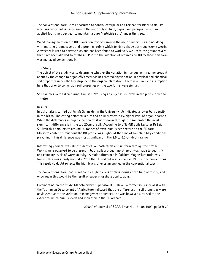The conventional farm uses Endosulfan to control caterpillar and Lorsban for Black Scale. Its weed management is based around the use of glysophate, diquat and paraquat which are applied four times per year to maintain a bare "herbicide strip" under the trees.

Weed management on the BD plantation revolves around the use of judicious slashing along with matting groundcovers and a pruning regime which tends to shade out troublesome weeds. A sweeper is used to harvest nuts and has been found to work very well with the groundcovers that have been allowed to establish. Prior to the adoption of organic and BD methods this farm was managed conventionally.

#### The Study

The object of the study was to determine whether the variation in management regime brought about by the change to organic/BD methods has created any variation in physical and chemical soil properties under the tree dripline in the organic plantation. There is an implicit assumption here that prior to conversion soil properties on the two farms were similar.

Soil samples were taken during August 1992 using an auger at six levels in the profile down to 1 metre.

#### **Results**

Initial analysis carried out by Ms Schneider in the University lab indicated a lower bulk density in the BD soil indicating better structure and an impressive 20% higher level of organic carbon. While the differences in organic carbon exist right down through the soil profile the most significant difference is in the top 20cm of soil. According to UNE-NR Soils Lecturer Dr Leigh Sullivan this amounts to around 50 tonnes of extra humus per hectare on the BD farm. Moisture content throughout the BD profile was higher at the time of sampling (dry conditions prevailing). This difference was most significant in the 2.5 to 5.0 cm depth range.

Interestingly soil pH was almost identical on both farms and uniform through the profile. Worms were observed to be present in both soils although no attempt was made to quantify and compare levels of worm activity. A major difference in Calcium/Magnesium ratio was found. This was a fairly normal 2.72 in the BD soil but was a massive 13.61 in the conventional. This result no doubt reflects the high levels of gypsum applied in the conventional case.

The conventional farm had significantly higher levels of phosphorus at the time of testing and once again this would be the result of super phosphate applications.

Commenting on the study, Ms Schneider's supervisor Dr Sullivan, a former soils specialist with the Tasmanian Department of Agriculture indicated that the differences in soil properties were obviously due to the variation in management practices. He was however surprised at the extent to which humus levels had increased in the BD orchard.

Newsleaf, Journal of BDAA, Issue No. 15, Jan 1993, pp28 & 29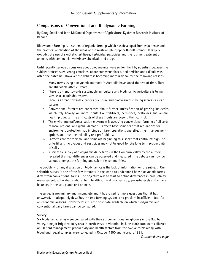# Comparisons of Conventional and Biodynamic Farming

By Doug Small and John McDonald Department of Agriculture, Kyabram Research institute of Benalla.

Biodynamic Farming is a system of organic farming which has developed from experience and the practical application of the ideas of the Austrian philosopher Rudolf Steiner. It largely excludes the use of synthetic fertilizers, herbicides, pesticides and the routine treatment of animals with commercial veterinary chemicals and drugs.

Until recently serious discussions about biodynamics were seldom held by scientists because the subject aroused such strong emotions, opponents were biased, and derision and ridicule was often the outcome. However the debate is becoming more rational for the following reasons:

- 1. Many farms using biodynamic methods in Australia have stood the test of time. They are still viable after 25 years.
- 2. There is a trend towards sustainable agriculture and biodynamic agriculture is being seen as a sustainable system.
- 3. There is a trend towards cleaner agriculture and biodynamics is being seen as a clean system.
- 4. Conventional farmers are concerned about further intensification of grazing industries which rely heavily on more inputs like fertilizers, herbicides, pesticides and animal health products. The unit costs of these inputs are beyond their control.
- 5. The environmental/conservation movement is accusing conventional farming of all sorts of local, regional and global damage. Farmers have some fear that regulations for environment protection may impinge on farm operations and effect their management options and thus their viability and profitability.
- 6. Farmers care for their soil and some are beginning to suspect that continued high use of fertilisers, herbicides and pesticides may not be good for the long term productivity of soils.
- 7. A scientific survey of biodynamic dairy farms in the Goulburn Valley by the authors revealed that real differences can be observed and measured. The debate can now be serious amongst the farming and scientific communities.

The trouble with any discussion on biodynamics is the lack of information on the subject. Our scientific survey is one of the few attempts in the world to understand how biodynamic farms differ from conventional farms. The objective was to start to define differences in productivity, management, soil water relations, herd health, clinical biochemistry, parasite levels and mineral balances in the soil, plants and animals.

The survey is preliminary and incomplete and it has raised far more questions than it has answered. It adequately describes the two farming systems and provides insufficient data for an economic analysis. Nevertheless it is the only data available on which biodynamic and conventional dairy farms can be compared.

#### Survey

Six biodynamic farms were compared with their six conventional neighbours in the Goulburn Valley, a major irrigated dairy area in north-eastern Victoria. In June 1990 data were collected on 60 herd management, productivity and health factors from the twelve farms along with blood and faecal samples, were collected in October 1990 and February 1991.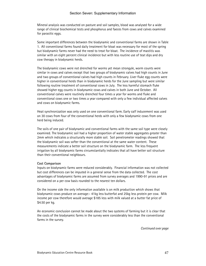Mineral analysis was conducted on pasture and soil samples, blood was analysed for a wide range of clinical biochemical tests and phosphorus and faeces from cows and calves examined for parasitic eggs.

Some important differences between the biodynamic and conventional farms are shown in Table 1. All conventional farms found daily treatment for bloat was necessary for most of the spring but biodynamic farms never had the need to treat for bloat. The incidence of mastitis was similar with an eight percent clinical incidence but with less routine use of teat dips and dry cow therapy in biodynamic herds.

The biodynamic cows were not drenched for worms yet mean strongyle, worm counts were similar in cows and calves except that two groups of biodynamic calves had high counts in June and two groups of conventional calves had high counts in February. Liver fluke egg counts were higher in conventional herds than in biodynamic herds for the June sampling but were similar following routine treatment of conventional cows in July. The less harmful stomach fluke showed higher egg counts in biodynamic cows and calves in both June and October. All conventional calves were routinely drenched four times a year for worms and fluke and conventional cows one or two times a year compared with only a few individual affected calves and cows on biodynamic farms.

Heat synchronization was only used on one conventional farm. Early calf inducement was used on 30 cows from four of the conventional herds with only a few biodynamic cows from one herd being induced.

The soils of one pair of biodynamic and conventional farms with the same soil type were closely examined. The biodynamic soil had a higher proportion of water stable aggregates greater than 2mm which indicates a structurally more stable soil. Soil penetrometer readings showed that the biodynamic soil was softer than the conventional at the same water content. These measurements indicate a better soil structure on the biodynamic farm. The less frequent irrigation by all biodynamic farms circumstantially indicates that all have better soil structure than their conventional neighbours.

#### Cost Comparison

Inputs on biodynamic farms were reduced considerably. Financial information was not collected but cost differences can be imputed in a general sense from the data collected. The cost advantages of biodynamic farms are assumed from survey averages and 1990-91 prices and are considered on a per cow basis rounded to the nearest ten dollars.

On the income side the only information available is on milk production which shows that biodynamic cows produce on average:- 41kg less butterfat and 25kg less protein per cow. Milk income per cow therefore would average \$185 less with milk valued at a butter fat price of \$4.50 per kg.

An economic conclusion cannot be made about the two systems of farming but it is clear that the costs of the biodynamic farms in the survey were considerably less than the conventional farms in the survey.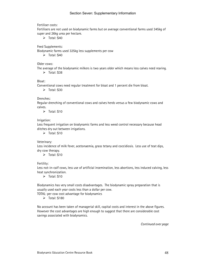#### Fertiliser costs:

Fertilisers are not used on biodynamic farms but on average conventional farms used 345kg of super and 26kg urea per hectare.

 $\triangleright$  Total: \$40

Feed Supplements:

Biodynamic farms used 325kg less supplements per cow

 $\triangleright$  Total: \$40

#### Older cows:

The average of the biodynamic milkers is two years older which means less calves need rearing.

 $\triangleright$  Total: \$38

### Bloat:

Conventional cows need regular treatment for bloat and 1 percent die from bloat.

 $\triangleright$  Total: \$30

#### Drenches:

Regular drenching of conventional cows and calves herds versus a few biodynamic cows and calves.

 $\triangleright$  Total: \$10

#### Irrigation:

Less frequent irrigation on biodynamic farms and less weed control necessary because head ditches dry out between irrigations.

 $\triangleright$  Total: \$10

### Veterinary:

Less incidence of milk fever, acetonaemia, grass tetany and coccidiosis. Less use of teat dips, dry cow therapy.

 $\triangleright$  Total: \$10

### Fertility:

Less not-in-calf cows, less use of artificial insemination, less abortions, less induced calving, less heat synchronization.

 $\triangleright$  Total: \$10

Biodynamics has very small costs disadvantages. The biodynamic spray preparation that is usually used each year costs less than a dollar per cow.

TOTAL: per cow cost advantage for biodynamics

 $\triangleright$  Total: \$180

No account has been taken of managerial skill, capital costs and interest in the above figures. However the cost advantages are high enough to suggest that there are considerable cost savings associated with biodynamics.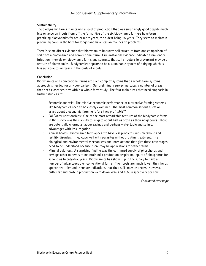#### **Sustainability**

The biodynamic farms maintained a level of production that was surprisingly good despite much less reliance on inputs from off the farm. Five of the six biodynamic farmers have been practicing biodynamics for ten or more years, the oldest being 25 years. They seem to maintain producing cows in the herd for longer and have less animal health problems.

There is some direct evidence that biodynamics improves soil structure from one comparison of soil from a biodynamic and conventional farm. Circumstantial evidence indicated from longer irrigation intervals on biodynamic farms and suggests that soil structure improvement may be a feature of biodynamics. Biodynamics appears to be a sustainable system of dairying which is less sensitive to increases in the costs of inputs.

#### **Conclusion**

Biodynamics and conventional farms are such complex systems that a whole farm systems approach is needed for any comparison. Our preliminary survey indicates a number of areas that need closer scrutiny within a whole farm study. The four main areas that need emphasis in further studies are:

- 1. Economic analysis: The relative economic performance of alternative farming systems like biodynamics need to be closely examined. The most common serious question asked about biodynamic farming is "are they profitable?"
- 2. Soil/water relationships: One of the most remarkable features of the biodynamic farms in the survey was their ability to irrigate about half as often as their neighbours. There are potentially enormous labour savings and perhaps water table and salinity advantages with less irrigation.
- 3. Animal health: Biodynamic farm appear to have less problems with metabolic and fertility disorders. They cope well with parasites without routine treatment. The biological and environmental mechanisms and inter-actions that give these advantages need to be understood because there may be applications for other farms.
- 4. Mineral balances: A surprising finding was the continued supply of phosphorus and perhaps other minerals to maintain milk production despite no inputs of phosphorus for as long as twenty-five years. Biodynamics has shown up in the survey to have a number of advantages over conventional farms. Their costs are much lower, their herds appear healthier and there are indications that their soils may be better. However, butter fat and protein production were down 20% and 16% respectively per cow.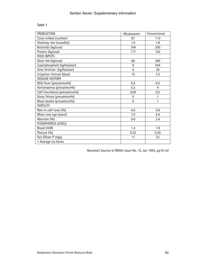#### Table 1

| <b>PRODUCTION</b>              | *Biodynamic | Conventional |
|--------------------------------|-------------|--------------|
| Cows milked (number)           | 87          | 113          |
| Stocking rate (cows/ha)        | 1.8         | 1.9          |
| Butterfat (kg/cow)             | 164         | 205          |
| Protein (kg/cow)               | 117         | 152          |
| <b>FEED INPUTS</b>             |             |              |
| Grain fed (kg/cow)             | 60          | 385          |
| Superphosphate (kg/ha/year)    | 0           | 354          |
| Urea fertiliser (kg/ha/year)   | 0           | 26           |
| Irrigation interval (days)     | 15          | 7.5          |
| <b>DISEASE HISTORY</b>         |             |              |
| Milk fever (prevalence%)       | 5.5         | 9.2          |
| Acetonaemia (prevalence%)      | 0.3         | 4            |
| Calf Coccidiosis (prevalence%) | 0.05        | 0.2          |
| Grass Tetany (prevalence%)     | 0           | 1            |
| Bloat deaths (prevalence%)     | 0           | 1            |
| <b>FERTILITY</b>               |             |              |
| Not-in-calf cows (%)           | 4.0         | 5.8          |
| Mean cow age (years)           | 7.0         | 5.0          |
| Abortion (%)                   | 0.6         | 2.4          |
| PHOSPHORUS LEVELS              |             |              |
| Blood (mM)                     | 1.4         | 1.9          |
| Pasture (%)                    | 0.22        | 0.35         |
| Soil (Olsen P mg/g             | 11          | 23           |
| * Average six farms            |             |              |

Newsleaf, Journal of BDAA, Issue No. 15, Jan 1993, pp19-24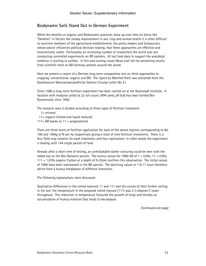### Biodynamic Soils Stand Out in German Experiment

While the benefits or organic and Biodynamic practices show up over time on farms like "Demeter" in factors like steady improvement in soil, crop and animal health it is often difficult to convince members of the agricultural establishment, the policy makers and bureaucrats whose advice influences political decision making, that these approaches are effective and economically viable. Fortunately an increasing number of researchers the world over are conducting controlled experiments on BD systems. At last hard data to support the anecdotal evidence is starting to surface. In this and coming issues News Leaf will be presenting results from scientific tests on BD farming systems around the world.

Here we present a report of a German long term comparative test on three approaches to cropping: conventional, organic and BD. The report by Manfred Klett was extracted from the Goetheanum Naturwissenshaftliche Sektion Circular Letter No 51.

Since 1980 a long-term fertilizer experiment has been carried on at the Darmstadt Institute. A location with marginal yields (a 22 soil count, 80% sand, pH 6.6) has been farmed Bio-Dynamically since 1950.

The research area is divided according to three types of fertilizer treatment:

1= mineral

- 11= organic (rotted and liquid manure)
- 111= BD (same as  $11 +$  preparations)

There are three levels of fertilizer application for each of the above regimes corresponding to 60, 100 and 140kg of N per ha respectively giving a total of nine fertilizer treatments. There is a four field crop rotation for each treatment, and four replications In other words the experiment is dealing with 144 single parcels of land.

Already after a short time of testing, an unmistakable darker colouring could be seen with the naked eye on the Bio-Dynamic parcels. The humus values for 1989-90 of  $1 = 0.8\%$ ,  $11 = 0.9\%$ , 111 = 1.03% organic Carbon at a depth of 0-25cm confirms this observation. The initial values of 1980 have been maintained in the BD parcels. The declining values in 1 & 11 must therefore derive from a humus breakdown of different intensities.

The following explanations were discussed:

Qualitative differences in the rotted manures 11 and 111 and the course of their further rotting in the soil: the temperature in the prepared rotted manure (111) was 2-3 degrees C lower throughout. This reduction in temperature favoured the growth of fungi and thereby an accumulation of humus material that tends to decompose.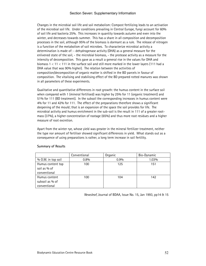#### Section Seven: Supplementary Information

Changes in the microbial soil life and soil metabolism: Compost fertilizing leads to an activation of the microbial soil life. Under conditions prevailing in Central Europe, fungi account for 60% of soil life and bacteria 25%. This increases in quantity towards autumn and even into the winter, and decreases towards summer. This has a share in all composition and decomposition processes in the soil, although 95% of the biomass is dormant as a rule. The release of nitrogen is a function of the metabolism of soil microbes. To characterize microbial activity a determination is made of: - dehydrogenase activity (DHA) as a general measure for the enlivened state of the soil, - the microbial biomass, - the protease activity as a measure for the intensity of decomposition. This gave as a result a general rise in the values for DHA and biomass  $1 < 11 < 111$  in the surface soil and still more marked in the lower layers (111 had a DHA value that was 90% higher). The relation between the activities of composition/decomposition of organic matter is shifted in the BD parcels in favour of composition. The vitalising and stabilising effect of the BD prepared rotted manures was shown in all parameters of these experiments.

Qualitative and quantitative differences in root growth: the humus content in the surface soil when compared with 1 (mineral fertilised) was higher by 25% for 11 (organic treatment) and 51% for 111 (BD treatment). In the subsoil the corresponding increases in humus content were 4% for 11 and 42% for 111. The effect of the preparations therefore shows a significant deepening of the mould; that is an expansion of the space the soil provides for life. The microbial activity and humus enrichment in the sub-soil is the result in 111 of a greater rootmass (37%), a higher concentration of rootage (65%) and thus more root residues and a higher measure of root excretion.

Apart from the winter rye, whose yield was greater in the mineral fertilizer treatment, neither the type nor amount of fertiliser showed significant differences in yield. What stands out as a consequence of using preparations is rather, a long term increase in soil fertility.

|                    | Conventional | Organic | Bio-Dynamic |
|--------------------|--------------|---------|-------------|
| % O.M. in top soil | 0.8%         | 0.9%    | 1.03%       |
| Humus content top  | 100          | 125     | 151         |
| soil as % of       |              |         |             |
| conventional       |              |         |             |
| Humus content      | 100          | 104     | 142         |
| subsoil as % of    |              |         |             |
| conventional       |              |         |             |

#### Summary of Results

Newsleaf, Journal of BDAA, Issue No. 15, Jan 1993, pp14 & 15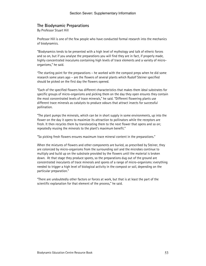### The Biodynamic Preparations

By Professor Stuart Hill

Professor Hill is one of the few people who have conducted formal research into the mechanics of biodynamics.

"Biodynamics tends to be presented with a high level of mythology and talk of etheric forces and so on, but if you analyse the preparations you will find they are in fact, if properly made, highly concentrated inoculums containing high levels of trace elements and a variety of microorganisms," he said.

"The starting point for the preparations – he worked with the compost preps when he did some research some years ago – are the flowers of several plants which Rudolf Steiner specified should be picked on the first day the flowers opened.

"Each of the specified flowers has different characteristics that makes them ideal substrates for specific groups of micro-organisms and picking them on the day they open ensures they contain the most concentrated levels of trace minerals," he said. "Different flowering plants use different trace minerals as catalysts to produce odours that attract insects for successful pollination.

"The plant pumps the minerals, which can be in short supply in some environments, up into the flower on the day it opens to maximize its attraction to pollinators while the receptors are fresh. It then recycles them by translocating them to the next flower that opens and so on; repeatedly reusing the minerals to the plant's maximum benefit."

"So picking fresh flowers ensures maximum trace mineral content in the preparations."

When the mixtures of flowers and other components are buried, as prescribed by Steiner, they are colonized by micro-organisms from the surrounding soil and the microbes continue to multiply and build up on the substrate provided by the flowers until the material is broken down. At that stage they produce spores, so the preparations dug out of the ground are concentrated inoculants of trace minerals and spores of a range of micro-organisms: everything needed to trigger a high level of biological activity in the compost or soil, depending on the particular preparation."

"There are undoubtedly other factors or forces at work, but that is at least the part of the scientific explanation for that element of the process," he said.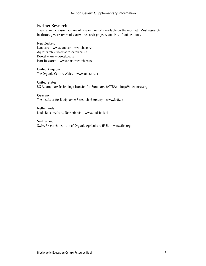### Further Research

There is an increasing volume of research reports available on the internet. Most research institutes give resumes of current research projects and lists of publications.

New Zealand Landcare – www.landcardresearch.co.nz AgResearch – www.agresearch.cri.nz Dexcel – www.dexcel.co.nz Hort Research – www.hortresearch.co.nz

United Kingdom The Organic Centre, Wales – www.aber.ac.uk

United States US Appropriate Technology Transfer for Rural area (ATTRA) – http://attra.ncat.org

Germany The Institute for Biodynamic Research, Germany – www.ibdf.de

**Netherlands** Louis Bolk Institute, Netherlands – www.louisbolk.nl

Switzerland Swiss Research Institute of Organic Agriculture (FiBL) – www.fibl.org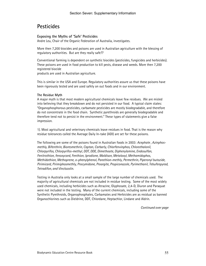# Pesticides

#### Exposing the Myths of 'Safe' Pesticides

Andre Leu, Chair of the Organic Federation of Australia, investigates.

More then 7,200 biocides and poisons are used in Australian agriculture with the blessing of regulatory authorities. But are they really safe??

Conventional farming is dependent on synthetic biocides (pesticides, fungicides and herbicides). These poisons are used in food production to kill pests, disease and weeds. More then 7,200 registered biocide

products are used in Australian agriculture.

This is similar in the USA and Europe. Regulatory authorities assure us that these poisons have been rigorously tested and are used safely on out foods and in our environment.

#### The Residue Myth

A major myth is that most modern agricultural chemicals leave few residues. We are misled into believing that they breakdown and do not persisted in our food. A typical claim states: "Organophosphorous pesticides, carbamate pesticides are mostly biodegradable, and therefore do not concentrate in the food chain. Synthetic pyrethroids are generally biodegradable and therefore tend not to persist in the environment." These types of statements give a false impression.

1). Most agricultural and veterinary chemicals leave residues in food. That is the reason why residue tolerances called the Average Daily In-take (ADI) are set for these poisons.

The following are some of the poisons found in Australian foods in 2003: Acephate , Azinphosmethly, Bifenthrin, Bioresmethrin, Captan, Carbarly, Chlorfenvinphos, Chlorothalonil, Chlorpyrifos, Chlorpyrifos-methyl, DDT, DDE, Dimethoate, Diphenylamine, Endosulfan, Fenitrothion, fenoxycard, Fenthion, Iprodione, Maldison, Metalaxyl, Methamidophos, Methidathion, Methoprene, o-phenylphenol, Parathion-methly, Permethrin, Piperonyl butozide, Pirimicard, Pirimiphosmethly, Procymidone, Proargite, Propiconazole, Pyrimethanil, Tebufenpyrad, Tetradifon, and Vinclozolin.

Testing in Australia only looks at a small sample of the large number of chemicals used. The majority of agricultural chemicals are not included in residue testing. Some of the most widely used chemicals, including herbicides such as Atrazine, Glyphosate, 2,4-D, Diuron and Paraquat were not included in the testing. Many of the current chemicals, including some of the Synthetic Pyrethroids, Organophosphates, Carbamates and Herbicides are as residual as banned Organochlorines such as Dieldrine, DDT, Chlordane, Heptachlor, Lindane and Aldrin.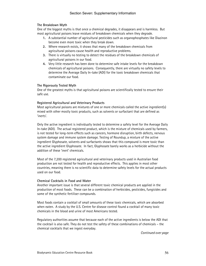#### The Breakdown Myth

One of the biggest myths is that once a chemical degrades, it disappears and is harmless. But most agricultural poisons leave residues of breakdown chemicals when they degrade.

- 1. A substantial number of agricultural pesticides such as organophosphates like Diazinon become even more toxic when they break down.
- 2. Where research exists, it shows that many of the breakdown chemicals from agricultural poisons cause health and reproductive problems.
- 3. There is virtually no testing to detect the residues of the breakdown chemicals of agricultural poisons in our food.
- 4. Very little research has been done to determine safe intake levels for the breakdown chemicals of agricultural poisons. Consequently, there are virtually no safety levels to determine the Average Daily In-take (ADI) for the toxic breakdown chemicals that contaminate our food.

#### The Rigorously Tested Myth

One of the greatest myths is that agricultural poisons are scientifically tested to ensure their safe use.

#### Registered Agricultural and Veterinary Products

Most agricultural poisons are mixtures of one or more chemicals called the active ingredient(s) mixed with other mostly toxic products, such as solvents or surfactant that are defined as 'inerts'.

Only the active ingredient is individually tested to determine a safety level for the Average Daily In-take (ADI). The actual registered product, which is the mixture of chemicals used by farmers, is not tested for long-term effects such as cancers, hormone disruption, birth defects, nervous system damage and immune system damage. Testing of Roundup, a mixture of the active ingredient Glyphosate, solvents and surfactants shows that this compound is more toxic than the active ingredient Glyphosate. In fact, Glyphosate barely works as a herbicide without the addition of these 'inert' chemicals.

Most of the 7,200 registered agricultural and veterinary products used in Australian food production are not tested for health and reproductive effects. This applies in most other countries, meaning there is no scientific data to determine safety levels for the actual products used on our food.

#### Chemical Cocktails in Food and Water

Another important issue is that several different toxic chemical products are applied in the production of most foods. These can be a combination of herbicides, pesticides, fungicides and some of the synthetic fertiliser compounds.

Most foods contain a cocktail of small amounts of these toxic chemicals, which are absorbed when eaten. A study by the U.S. Centre for disease control found a cocktail of many toxic chemicals in the blood and urine of most Americans tested.

Regulatory authorities assume that because each of the active ingredients is below the ADI that the cocktail is also safe. They do not test the safety of these combinations of chemicals – the chemical cocktails that we ingest everyday.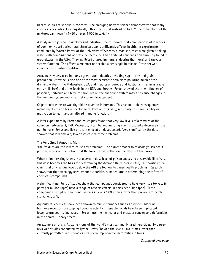Recent studies raise serious concerns. The emerging body of science demonstrates that many chemical cocktails act synergistically. This means that instead of 1+1=2, the extra effect of the mixtures can mean 1+1=60 or even 1,000 in toxicity.

A study in the journal Toxicology and Industrial Health showed that combinations of low does of commonly used agricultural chemicals can significantly affects health. In experiments conducted by Warren Porter at the University of Wisconsin-Madison, mice were given drinking water with combinations of pesticide, herbicide and nitrate, at concentration currently found in groundwater in the USA. They exhibited altered immune, endocrine (hormone) and nervous system function. The effects were most noticeable when single herbicide (Atrazine) was combined with nitrate fertilizer.

Atrazine is widely used in many agricultural industries including sugar cane and grain production. Atrazine is also one of the most persistent herbicides polluting much of the drinking water in the Midwestern USA, and in parts of Europe and Australia. It is measurable in corn, milk, beef and other foods in the USA and Europe. Porter showed that the influence of pesticide, herbicide and fertilizer mixtures on the endocrine system may also cause changes in the immune system and affect fetal brain development.

Of particular concern was thyroid destruction in humans. This has multiple consequences including effects on brain development, level of irritability, sensitivity to stimuli, ability or motivation to learn and an altered immune function.

A later experiment by Porter and colleagues found that very low levels of a mixture of the common herbicides 2, 4-D, Mecoprop, Dicamba and inert ingredients caused a decrease in the number of embryos and live births in mice at all doses tested. Very significantly the data showed that low and very low doses caused these problems.

#### The Very Small Amounts Myth

'The residues are too low to cause any problems'. The current model to toxicology (science if poisons) works on the notion that the lower the dose the less the effect of the poison.

When animal testing shows that a certain dose level of poison causes no observable ill effects, this dose becomes the basis for determining the Average Daily In-take (ADI). Authorities then claim that any residue levels below the ADI are too low to cause health problems. Research shows that the toxicology used by our authorities is inadequate in determining the safety of chemicals compounds.

A significant numbers of studies show that compounds considered to have very little toxicity in parts per million (ppm) have a range of adverse effects in parts per billion (ppb). These compounds disrupt our hormone systems at levels 1,000 times lower than previous research stated was safe.

Agricultural chemicals have been shown to mimic hormones such as estrogen, blocking hormone receptors or stopping hormone activity. These chemicals have been implicated in lower sperm counts, increases in breast, uterine, testicular and prostate cancers and deformities in the genital-urinary tracts.

An example of this is Atrazine – one of the world's most commonly used herbicides. Two peerreviewed studies conducted by Tyrone Hayes Showed the levels 1,000 times lower than currently permitted in our food causes severe reproductive deformities in frogs.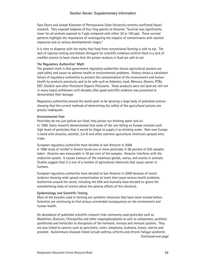Sara Storrs and Joseph Kiesecker of Pennsylvania State University recently confirmed Hayes' research. They exposed tadpoles of four frog species to Atrazine. "Survival was significantly lower for all animals exposed to 3 ppb compared with either 30 or 100 ppb. These survival patterns highlight the importance of investigating the impacts of contaminants with realistic exposures and at various developmental stages."

It is time to dispense with the myths that food from conventional farming is safe to eat. The lack of rigorous testing and blatant disregard for scientific evidence confirm there is a lack of credible science to back claims that the poison residues in food are safe to eat.

#### The Regulatory Authorities' Myth

The greatest myth is that government regulatory authorities ensure agricultural poisons are used safely and cause no adverse health or environmental problems. History shows a consistent failure of regulatory authorities to prevent the contamination of the environment and human health by products previously said to be safe such as Asbestos, Lead, Mercury, Dioxins, PCBs, DDT, Dieldrin and other Persistent Organic Pollutants. These products were not (and are still not in many cases) withdrawn until decades after good scientific evidence was presented to demonstrate their damage.

Regulatory authorities around the world seem to be ignoring a large body of published science showing that the current methods of determining the safety of the agricultural poisons are grossly inadequate.

#### Environmental Fate

Pesticides do not just pollute our food; they poison our drinking water and air. In 1999, Swiss research demonstrated that some of the rain falling on Europe contains such high levels of pesticides that it would be illegal to supply it as drinking water. Rain over Europe is laced with atrazine, alochlor, 2,4-D and other common agricultural chemicals sprayed onto crops.

European regulatory authorities have decided to ban Atrazine in 2006 A 1999 study of rainfall in Greece found one or more pesticides in 90 percent of 205 samples taken. Atrazine was measurable in 30 per cent of the samples. Atrazine interferes with the endocrine system. It causes tumours of the mammary glands, uterus, and ovaries in animals. Studies suggest that it is one of a number of agricultural chemicals that cause cancer in humans.

European regulatory authorities have decided to ban Atrazine in 2006 because of recent evidence showing wide spread contamination at levels that cause serious health problems. Authorities around the world, including the USA and Australia have decided to ignore the overwhelming body of science about the adverse effects of this chemical.

#### Epidemiology and Scientific Testing

Most of the biocides used in farming are synthetic chemicals that have never existed before. Scientists are continuing to find serious unintended consequences on the environment and human health.

An abundance of published scientific research links commonly used pesticides such as Malathion, Diazinon, Chlorpyrifos and other organophosphates as well as carbamates, synthetic pyrethroids and herbicides to disruptions of the hormone, nervous and immune systems. They are also linked to cancers such as pancreatic, colon, lymphoma, leukemia, breast, uterine and prostate. Autoimmune diseases linked include asthma, arthritis and chronic fatigue syndrome. Continued over page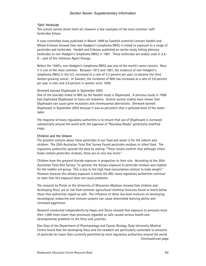#### 'Safe' Herbicide

This article cannot detail them all; however a few examples of the most common 'safe' herbicides follow:

A case-controlled study published in March 1999 by Swedish scientists Lennart Hardell and Mikael Eriksson showed that non-Hodgkin's lymphoma (NHL) is linked to exposure to a range of pesticides and herbicides. Hardell and Eriksson published an earlier study linking phenoxy herbicides to non-Hodgkin's lymphoma (NHL) in 1981. These herbicides are widely used in 2,4- D – part of the infamous Agent Orange.

Before the 1940's, non-Hodgkin's lymphoma (NHL) was one of the world's rarest cancers. Now it is one of the most common. Between 1973 and 1991, the evidence of non-Hodgkin's lymphoma (NHL) in the U.S. increased at a rate of 3.3 percent per year, to become the third fastest-growing cancer. In Sweden, the incidence of NHL has increased at a rate of 3.6 percent per year in men and 2.9 percent in women since 1958.

#### Denmark banned Glyphosate in September 2003

One of the biocides linked to NHL by the Hardell study is Glyphosate. A previous study in 1998 had implicated Glyphosate to hairy cell leukemia. Several animal studies have shown that Glyphosate can cause gene mutations and chromosomal aberrations. Denmark banned Glyphosate in September 2003 because it was so persistent that it polluted most of the water table.

The response of many regulatory authorities is to ensure that use of Glyphosate is increased substantially around the world with the approval of "Roundup Ready" genetically modified crops.

#### Children and the Unborn

The greatest concern about these pesticides in our food and water is for the unborn and children. The 20th Australian Total Diet Survey Found pesticides residues in infant food. The regulatory authorities ignored the data by stating: "These results confirm that although infant foods contain pesticides residues, these are at very low levels."

Children have the greatest biocide exposure in proportion to their size. According to the 20th Australian Total Diet Survey: "In general, the dietary exposure to pesticide residues was highest for the toddler are group. This is due to the high food consumption relative to body weight." However because this dietary exposure is below the ADI, many regulatory authorities continue to state that this exposure does not cause problems.

The research by Porter at the University of Wisconsin-Madison showed that children and developing fetus' are at risk from common agricultural chemical mixtures found at levels below those that authorities regard as safe. The influence of these low dose mixtures on developing neurological, endocrine and immune systems can cause diminished learning ability and increased aggression.

Research conducted independently by Hayes and Storrs showed that exposure to amounts more then 1,000 times lower than previously regarded as safe caused serious health and developmental problems to the fetus and juveniles.

Dan Qiao of the Department of Pharmacology and Cancer Biology, Duke University Medical Centre found that the developing fetus and the newborn are particularly vulnerable to amounts of pesticide far lower than currently permitted by most regulatory authorities around the world. Continued over page